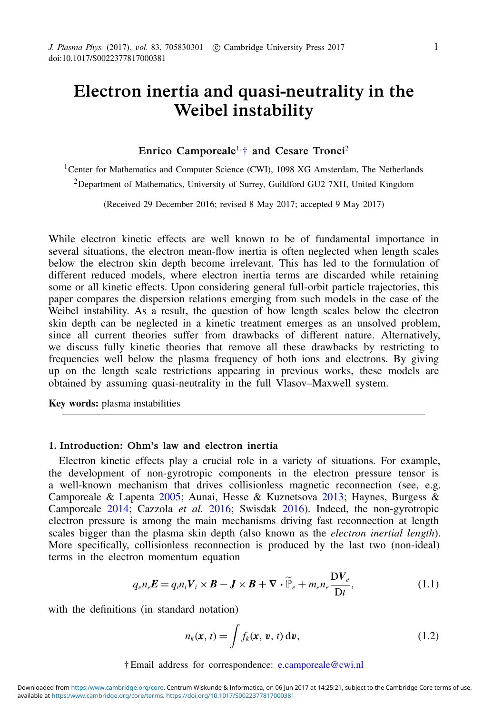# Electron inertia and quasi-neutrality in the Weibel instability

## Enrico Camporeale<sup>[1,](#page-0-0) $\dagger$ </sup> and Cesare Tronci<sup>[2](#page-0-2)</sup>

<span id="page-0-2"></span><span id="page-0-0"></span><sup>1</sup>Center for Mathematics and Computer Science (CWI), 1098 XG Amsterdam, The Netherlands <sup>2</sup>Department of Mathematics, University of Surrey, Guildford GU2 7XH, United Kingdom

(Received 29 December 2016; revised 8 May 2017; accepted 9 May 2017)

While electron kinetic effects are well known to be of fundamental importance in several situations, the electron mean-flow inertia is often neglected when length scales below the electron skin depth become irrelevant. This has led to the formulation of different reduced models, where electron inertia terms are discarded while retaining some or all kinetic effects. Upon considering general full-orbit particle trajectories, this paper compares the dispersion relations emerging from such models in the case of the Weibel instability. As a result, the question of how length scales below the electron skin depth can be neglected in a kinetic treatment emerges as an unsolved problem, since all current theories suffer from drawbacks of different nature. Alternatively, we discuss fully kinetic theories that remove all these drawbacks by restricting to frequencies well below the plasma frequency of both ions and electrons. By giving up on the length scale restrictions appearing in previous works, these models are obtained by assuming quasi-neutrality in the full Vlasov–Maxwell system.

Key words: plasma instabilities

## 1. Introduction: Ohm's law and electron inertia

Electron kinetic effects play a crucial role in a variety of situations. For example, the development of non-gyrotropic components in the electron pressure tensor is a well-known mechanism that drives collisionless magnetic reconnection (see, e.g. Camporeale & Lapenta 2005; Aunai, Hesse & Kuznetsova 2013; Haynes, Burgess & Camporeale 2014; Cazzola *et al.* 2016; Swisdak 2016). Indeed, the non-gyrotropic electron pressure is among the main mechanisms driving fast reconnection at length scales bigger than the plasma skin depth (also known as the *electron inertial length*). More specifically, collisionless reconnection is produced by the last two (non-ideal) terms in the electron momentum equation

<span id="page-0-3"></span>
$$
q_{e}n_{e}E = q_{i}n_{i}V_{i} \times B - J \times B + \nabla \cdot \widetilde{\mathbb{P}}_{e} + m_{e}n_{e} \frac{\mathcal{D}V_{e}}{\mathcal{D}t},
$$
\n(1.1)

<span id="page-0-1"></span>with the definitions (in standard notation)

$$
n_k(\mathbf{x}, t) = \int f_k(\mathbf{x}, \mathbf{v}, t) \, \mathrm{d}\mathbf{v},\tag{1.2}
$$

† Email address for correspondence: [e.camporeale@cwi.nl](mailto:e.camporeale@cwi.nl)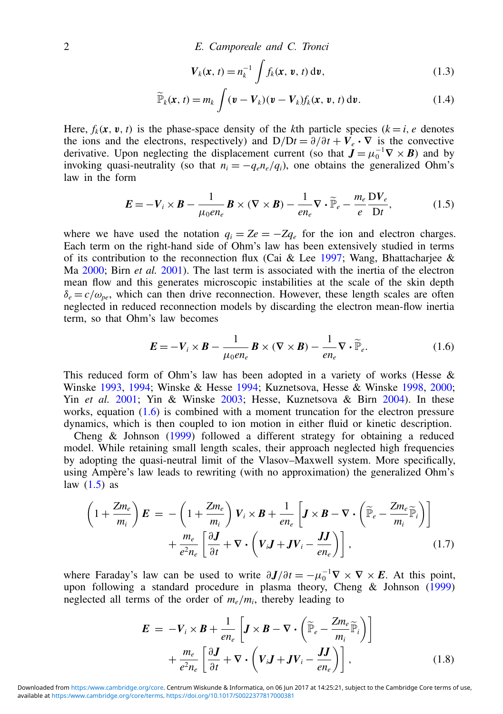2 E. Camporeale and C. Tronci

$$
\boldsymbol{V}_k(\boldsymbol{x}, t) = n_k^{-1} \int f_k(\boldsymbol{x}, \boldsymbol{v}, t) \, \mathrm{d}\boldsymbol{v},\tag{1.3}
$$

$$
\widetilde{\mathbb{P}}_k(\mathbf{x}, t) = m_k \int (\mathbf{v} - \mathbf{V}_k)(\mathbf{v} - \mathbf{V}_k) f_k(\mathbf{x}, \mathbf{v}, t) \, \mathrm{d}\mathbf{v}.
$$
 (1.4)

Here,  $f_k(x, v, t)$  is the phase-space density of the *k*th particle species  $(k = i, e$  denotes the ions and the electrons, respectively) and  $D/Dt = \partial/\partial t + V_e \cdot \nabla$  is the convective derivative. Upon neglecting the displacement current (so that  $J = \mu_0^{-1} \nabla \times B$ ) and by invoking quasi-neutrality (so that  $n_i = -q_e n_e/q_i$ ), one obtains the generalized Ohm's law in the form

<span id="page-1-1"></span>
$$
\boldsymbol{E} = -\boldsymbol{V}_i \times \boldsymbol{B} - \frac{1}{\mu_0 e n_e} \boldsymbol{B} \times (\nabla \times \boldsymbol{B}) - \frac{1}{e n_e} \nabla \cdot \widetilde{\mathbb{P}}_e - \frac{m_e}{e} \frac{\mathrm{D} V_e}{\mathrm{D} t},\tag{1.5}
$$

where we have used the notation  $q_i = Ze = -Zq_e$  for the ion and electron charges. Each term on the right-hand side of Ohm's law has been extensively studied in terms of its contribution to the reconnection flux (Cai & Lee 1997; Wang, Bhattacharjee & Ma 2000; Birn *et al.* 2001). The last term is associated with the inertia of the electron mean flow and this generates microscopic instabilities at the scale of the skin depth  $\delta_e = c/\omega_{pe}$ , which can then drive reconnection. However, these length scales are often neglected in reduced reconnection models by discarding the electron mean-flow inertia term, so that Ohm's law becomes

<span id="page-1-0"></span>
$$
\boldsymbol{E} = -\boldsymbol{V}_i \times \boldsymbol{B} - \frac{1}{\mu_0 e n_e} \boldsymbol{B} \times (\nabla \times \boldsymbol{B}) - \frac{1}{e n_e} \nabla \cdot \widetilde{\mathbb{P}}_e. \tag{1.6}
$$

This reduced form of Ohm's law has been adopted in a variety of works (Hesse  $\&$ Winske 1993, 1994; Winske & Hesse 1994; Kuznetsova, Hesse & Winske 1998, 2000; Yin *et al.* 2001; Yin & Winske 2003; Hesse, Kuznetsova & Birn 2004). In these works, equation [\(1.6\)](#page-1-0) is combined with a moment truncation for the electron pressure dynamics, which is then coupled to ion motion in either fluid or kinetic description.

Cheng & Johnson (1999) followed a different strategy for obtaining a reduced model. While retaining small length scales, their approach neglected high frequencies by adopting the quasi-neutral limit of the Vlasov–Maxwell system. More specifically, using Ampère's law leads to rewriting (with no approximation) the generalized Ohm's law  $(1.5)$  as

<span id="page-1-3"></span>
$$
\left(1+\frac{Zm_e}{m_i}\right)\boldsymbol{E} = -\left(1+\frac{Zm_e}{m_i}\right)\boldsymbol{V}_i \times \boldsymbol{B} + \frac{1}{en_e}\left[\boldsymbol{J} \times \boldsymbol{B} - \nabla \cdot \left(\widetilde{\mathbb{P}}_e - \frac{Zm_e}{m_i}\widetilde{\mathbb{P}}_i\right)\right] + \frac{m_e}{e^2n_e}\left[\frac{\partial \boldsymbol{J}}{\partial t} + \nabla \cdot \left(\boldsymbol{V}_i \boldsymbol{J} + \boldsymbol{J} \boldsymbol{V}_i - \frac{\boldsymbol{J} \boldsymbol{J}}{en_e}\right)\right],
$$
\n(1.7)

where Faraday's law can be used to write  $\partial J/\partial t = -\mu_0^{-1} \nabla \times \nabla \times E$ . At this point, upon following a standard procedure in plasma theory, Cheng & Johnson (1999) neglected all terms of the order of  $m_e/m_i$ , thereby leading to

<span id="page-1-2"></span>
$$
\mathbf{E} = -V_i \times \mathbf{B} + \frac{1}{en_e} \left[ \mathbf{J} \times \mathbf{B} - \nabla \cdot \left( \widetilde{\mathbb{P}}_e - \frac{Zm_e}{m_i} \widetilde{\mathbb{P}}_i \right) \right] + \frac{m_e}{e^2 n_e} \left[ \frac{\partial \mathbf{J}}{\partial t} + \nabla \cdot \left( V_i \mathbf{J} + \mathbf{J} V_i - \frac{\mathbf{J} \mathbf{J}}{en_e} \right) \right],
$$
 (1.8)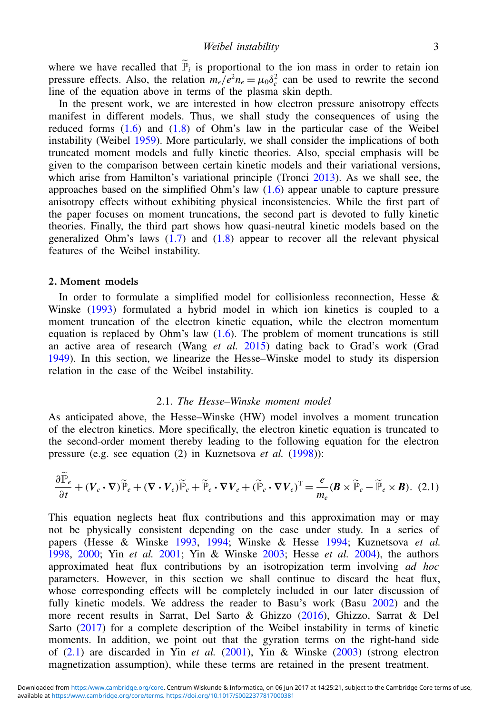where we have recalled that  $\tilde{P}_i$  is proportional to the ion mass in order to retain ion pressure effects. Also, the relation  $m_e/e^2 n_e = \mu_0 \delta_e^2$  can be used to rewrite the second Figure ences. This, the relation  $m_{e}$   $\sim \mu_0 \nu_e$  can be used in the equation above in terms of the plasma skin depth.

In the present work, we are interested in how electron pressure anisotropy effects manifest in different models. Thus, we shall study the consequences of using the reduced forms [\(1.6\)](#page-1-0) and [\(1.8\)](#page-1-2) of Ohm's law in the particular case of the Weibel instability (Weibel 1959). More particularly, we shall consider the implications of both truncated moment models and fully kinetic theories. Also, special emphasis will be given to the comparison between certain kinetic models and their variational versions, which arise from Hamilton's variational principle (Tronci 2013). As we shall see, the approaches based on the simplified Ohm's law  $(1.6)$  appear unable to capture pressure anisotropy effects without exhibiting physical inconsistencies. While the first part of the paper focuses on moment truncations, the second part is devoted to fully kinetic theories. Finally, the third part shows how quasi-neutral kinetic models based on the generalized Ohm's laws  $(1.7)$  and  $(1.8)$  appear to recover all the relevant physical features of the Weibel instability.

#### <span id="page-2-2"></span>2. Moment models

In order to formulate a simplified model for collisionless reconnection, Hesse  $\&$ Winske (1993) formulated a hybrid model in which ion kinetics is coupled to a moment truncation of the electron kinetic equation, while the electron momentum equation is replaced by Ohm's law  $(1.6)$ . The problem of moment truncations is still an active area of research (Wang *et al.* 2015) dating back to Grad's work (Grad 1949). In this section, we linearize the Hesse–Winske model to study its dispersion relation in the case of the Weibel instability.

## <span id="page-2-1"></span>2.1. *The Hesse–Winske moment model*

As anticipated above, the Hesse–Winske (HW) model involves a moment truncation of the electron kinetics. More specifically, the electron kinetic equation is truncated to the second-order moment thereby leading to the following equation for the electron pressure (e.g. see equation (2) in Kuznetsova *et al.* (1998)):

<span id="page-2-0"></span>
$$
\frac{\partial \widetilde{\mathbb{P}}_e}{\partial t} + (\mathbf{V}_e \cdot \nabla) \widetilde{\mathbb{P}}_e + (\nabla \cdot \mathbf{V}_e) \widetilde{\mathbb{P}}_e + \widetilde{\mathbb{P}}_e \cdot \nabla \mathbf{V}_e + (\widetilde{\mathbb{P}}_e \cdot \nabla \mathbf{V}_e)^{\mathrm{T}} = \frac{e}{m_e} (\mathbf{B} \times \widetilde{\mathbb{P}}_e - \widetilde{\mathbb{P}}_e \times \mathbf{B}). \tag{2.1}
$$

This equation neglects heat flux contributions and this approximation may or may not be physically consistent depending on the case under study. In a series of papers (Hesse & Winske 1993, 1994; Winske & Hesse 1994; Kuznetsova *et al.* 1998, 2000; Yin *et al.* 2001; Yin & Winske 2003; Hesse *et al.* 2004), the authors approximated heat flux contributions by an isotropization term involving *ad hoc* parameters. However, in this section we shall continue to discard the heat flux, whose corresponding effects will be completely included in our later discussion of fully kinetic models. We address the reader to Basu's work (Basu 2002) and the more recent results in Sarrat, Del Sarto & Ghizzo (2016), Ghizzo, Sarrat & Del Sarto (2017) for a complete description of the Weibel instability in terms of kinetic moments. In addition, we point out that the gyration terms on the right-hand side of [\(2.1\)](#page-2-0) are discarded in Yin *et al.* (2001), Yin & Winske (2003) (strong electron magnetization assumption), while these terms are retained in the present treatment.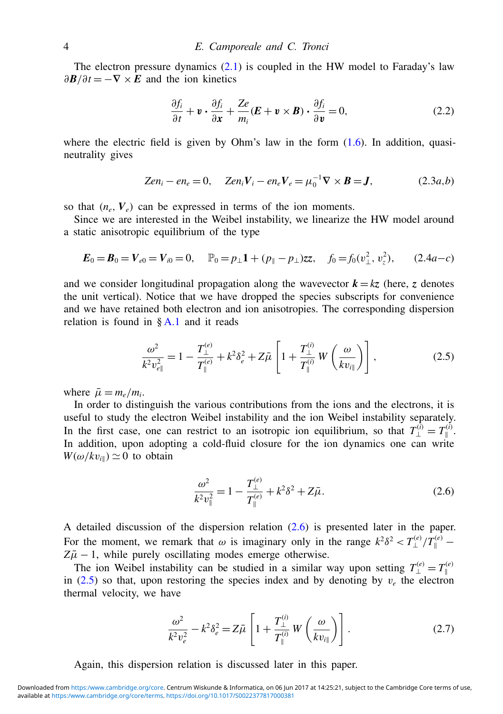The electron pressure dynamics  $(2.1)$  is coupled in the HW model to Faraday's law  $\partial \mathbf{B}/\partial t = -\nabla \times \mathbf{E}$  and the ion kinetics

<span id="page-3-4"></span>
$$
\frac{\partial f_i}{\partial t} + \mathbf{v} \cdot \frac{\partial f_i}{\partial \mathbf{x}} + \frac{Ze}{m_i} (\mathbf{E} + \mathbf{v} \times \mathbf{B}) \cdot \frac{\partial f_i}{\partial \mathbf{v}} = 0, \tag{2.2}
$$

where the electric field is given by Ohm's law in the form  $(1.6)$ . In addition, quasineutrality gives

<span id="page-3-5"></span>
$$
Zen_i - en_e = 0, \quad Zen_iV_i - en_eV_e = \mu_0^{-1}\nabla \times \mathbf{B} = \mathbf{J}, \tag{2.3a,b}
$$

so that  $(n_e, V_e)$  can be expressed in terms of the ion moments.

Since we are interested in the Weibel instability, we linearize the HW model around a static anisotropic equilibrium of the type

<span id="page-3-2"></span>
$$
E_0 = B_0 = V_{e0} = V_{i0} = 0, \quad P_0 = p_\perp 1 + (p_\parallel - p_\perp)zz, \quad f_0 = f_0(v_\perp^2, v_z^2), \quad (2.4a - c)
$$

and we consider longitudinal propagation along the wavevector  $k = kz$  (here, *z* denotes the unit vertical). Notice that we have dropped the species subscripts for convenience and we have retained both electron and ion anisotropies. The corresponding dispersion relation is found in  $\&$  [A.1](#page-18-0) and it reads

<span id="page-3-1"></span>
$$
\frac{\omega^2}{k^2 v_{e\parallel}^2} = 1 - \frac{T_{\perp}^{(e)}}{T_{\parallel}^{(e)}} + k^2 \delta_e^2 + Z\bar{\mu} \left[ 1 + \frac{T_{\perp}^{(i)}}{T_{\parallel}^{(i)}} W\left(\frac{\omega}{kv_{i\parallel}}\right) \right],
$$
\n(2.5)

where  $\bar{\mu} = m_e/m_i$ .

In order to distinguish the various contributions from the ions and the electrons, it is useful to study the electron Weibel instability and the ion Weibel instability separately. In the first case, one can restrict to an isotropic ion equilibrium, so that  $T_{\perp}^{(i)} = T_{\parallel}^{(i)}$ . In addition, upon adopting a cold-fluid closure for the ion dynamics one can write  $W(\omega/kv_{\text{in}}) \simeq 0$  to obtain

<span id="page-3-0"></span>
$$
\frac{\omega^2}{k^2 v_{\parallel}^2} = 1 - \frac{T_{\perp}^{(e)}}{T_{\parallel}^{(e)}} + k^2 \delta^2 + Z\bar{\mu}.
$$
 (2.6)

A detailed discussion of the dispersion relation [\(2.6\)](#page-3-0) is presented later in the paper. For the moment, we remark that  $\omega$  is imaginary only in the range  $k^2 \delta^2 < T_{\perp}^{(e)}/T_{\parallel}^{(e)}$  –  $Z\bar{\mu}$  − 1, while purely oscillating modes emerge otherwise.

The ion Weibel instability can be studied in a similar way upon setting  $T_{\perp}^{(e)} = T_{\parallel}^{(e)}$ in [\(2.5\)](#page-3-1) so that, upon restoring the species index and by denoting by  $v_e$  the electron thermal velocity, we have

<span id="page-3-3"></span>
$$
\frac{\omega^2}{k^2 v_e^2} - k^2 \delta_e^2 = Z \bar{\mu} \left[ 1 + \frac{T_\perp^{(i)}}{T_\parallel^{(i)}} W \left( \frac{\omega}{k v_{i\parallel}} \right) \right]. \tag{2.7}
$$

Again, this dispersion relation is discussed later in this paper.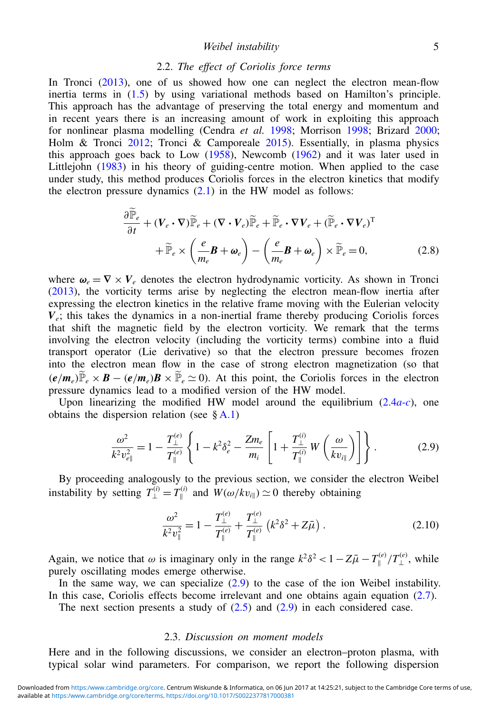## Weibel instability 5

## <span id="page-4-2"></span>2.2. *The effect of Coriolis force terms*

In Tronci (2013), one of us showed how one can neglect the electron mean-flow inertia terms in [\(1.5\)](#page-1-1) by using variational methods based on Hamilton's principle. This approach has the advantage of preserving the total energy and momentum and in recent years there is an increasing amount of work in exploiting this approach for nonlinear plasma modelling (Cendra *et al.* 1998; Morrison 1998; Brizard 2000; Holm & Tronci 2012; Tronci & Camporeale 2015). Essentially, in plasma physics this approach goes back to Low  $(1958)$ , Newcomb  $(1962)$  and it was later used in Littlejohn (1983) in his theory of guiding-centre motion. When applied to the case under study, this method produces Coriolis forces in the electron kinetics that modify the electron pressure dynamics  $(2.1)$  in the HW model as follows:

<span id="page-4-3"></span>
$$
\frac{\partial \widetilde{\mathbb{P}}_e}{\partial t} + (\mathbf{V}_e \cdot \nabla) \widetilde{\mathbb{P}}_e + (\nabla \cdot \mathbf{V}_e) \widetilde{\mathbb{P}}_e + \widetilde{\mathbb{P}}_e \cdot \nabla \mathbf{V}_e + (\widetilde{\mathbb{P}}_e \cdot \nabla \mathbf{V}_e)^{\mathrm{T}} \n+ \widetilde{\mathbb{P}}_e \times \left( \frac{e}{m_e} \mathbf{B} + \boldsymbol{\omega}_e \right) - \left( \frac{e}{m_e} \mathbf{B} + \boldsymbol{\omega}_e \right) \times \widetilde{\mathbb{P}}_e = 0,
$$
\n(2.8)

where  $\omega_e = \nabla \times V_e$  denotes the electron hydrodynamic vorticity. As shown in Tronci (2013), the vorticity terms arise by neglecting the electron mean-flow inertia after expressing the electron kinetics in the relative frame moving with the Eulerian velocity  $V_e$ ; this takes the dynamics in a non-inertial frame thereby producing Coriolis forces that shift the magnetic field by the electron vorticity. We remark that the terms involving the electron velocity (including the vorticity terms) combine into a fluid transport operator (Lie derivative) so that the electron pressure becomes frozen into the electron mean flow in the case of strong electron magnetization (so that  $(e/m_e)\widetilde{P}_e \times B - (e/m_e)B \times \widetilde{P}_e \simeq 0$ . At this point, the Coriolis forces in the electron pressure dynamics lead to a modified version of the HW model.

Upon linearizing the modified HW model around the equilibrium  $(2.4a-c)$  $(2.4a-c)$ , one obtains the dispersion relation (see  $\S$  [A.1\)](#page-18-0)

<span id="page-4-0"></span>
$$
\frac{\omega^2}{k^2 v_{e\parallel}^2} = 1 - \frac{T_{\perp}^{(e)}}{T_{\parallel}^{(e)}} \left\{ 1 - k^2 \delta_e^2 - \frac{Z m_e}{m_i} \left[ 1 + \frac{T_{\perp}^{(i)}}{T_{\parallel}^{(i)}} W\left(\frac{\omega}{kv_{i\parallel}}\right) \right] \right\}.
$$
 (2.9)

By proceeding analogously to the previous section, we consider the electron Weibel instability by setting  $T_{\perp}^{(i)} = T_{\parallel}^{(i)}$  $W(w/kv_{i\parallel}) \simeq 0$  thereby obtaining

<span id="page-4-1"></span>
$$
\frac{\omega^2}{k^2 v_{\parallel}^2} = 1 - \frac{T_{\perp}^{(e)}}{T_{\parallel}^{(e)}} + \frac{T_{\perp}^{(e)}}{T_{\parallel}^{(e)}} \left( k^2 \delta^2 + Z \bar{\mu} \right). \tag{2.10}
$$

Again, we notice that  $\omega$  is imaginary only in the range  $k^2 \delta^2 < 1 - Z\overline{\mu} - T_{\parallel}^{(e)}/T_{\perp}^{(e)}$ , while purely oscillating modes emerge otherwise.

In the same way, we can specialize  $(2.9)$  to the case of the ion Weibel instability. In this case, Coriolis effects become irrelevant and one obtains again equation [\(2.7\)](#page-3-3).

The next section presents a study of  $(2.5)$  and  $(2.9)$  in each considered case.

#### 2.3. *Discussion on moment models*

Here and in the following discussions, we consider an electron–proton plasma, with typical solar wind parameters. For comparison, we report the following dispersion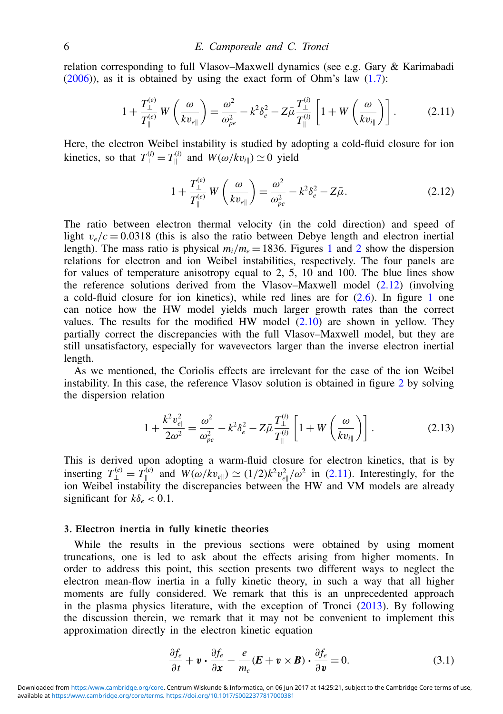relation corresponding to full Vlasov–Maxwell dynamics (see e.g. Gary & Karimabadi  $(2006)$ , as it is obtained by using the exact form of Ohm's law  $(1.7)$ :

<span id="page-5-1"></span>
$$
1 + \frac{T_{\perp}^{(e)}}{T_{\parallel}^{(e)}} W\left(\frac{\omega}{kv_{e\parallel}}\right) = \frac{\omega^2}{\omega_{pe}^2} - k^2 \delta_e^2 - Z\bar{\mu} \frac{T_{\perp}^{(i)}}{T_{\parallel}^{(i)}} \left[1 + W\left(\frac{\omega}{kv_{i\parallel}}\right)\right].
$$
 (2.11)

Here, the electron Weibel instability is studied by adopting a cold-fluid closure for ion kinetics, so that  $T_{\perp}^{(i)} = T_{\parallel}^{(i)}$  $W(\omega/kv_{i\parallel}) \simeq 0$  yield

<span id="page-5-0"></span>
$$
1 + \frac{T_{\perp}^{(e)}}{T_{\parallel}^{(e)}} W\left(\frac{\omega}{kv_{e\parallel}}\right) = \frac{\omega^2}{\omega_{pe}^2} - k^2 \delta_e^2 - Z\bar{\mu}.
$$
 (2.12)

The ratio between electron thermal velocity (in the cold direction) and speed of light  $v_e/c = 0.0318$  (this is also the ratio between Debye length and electron inertial length). The mass ratio is physical  $m_i/m_e = 1836$ . Figures 1 and 2 show the dispersion relations for electron and ion Weibel instabilities, respectively. The four panels are for values of temperature anisotropy equal to 2, 5, 10 and 100. The blue lines show the reference solutions derived from the Vlasov–Maxwell model [\(2.12\)](#page-5-0) (involving a cold-fluid closure for ion kinetics), while red lines are for  $(2.6)$ . In figure 1 one can notice how the HW model yields much larger growth rates than the correct values. The results for the modified HW model  $(2.10)$  are shown in yellow. They partially correct the discrepancies with the full Vlasov–Maxwell model, but they are still unsatisfactory, especially for wavevectors larger than the inverse electron inertial length.

As we mentioned, the Coriolis effects are irrelevant for the case of the ion Weibel instability. In this case, the reference Vlasov solution is obtained in figure 2 by solving the dispersion relation

<span id="page-5-2"></span>
$$
1 + \frac{k^2 v_{e\parallel}^2}{2\omega^2} = \frac{\omega^2}{\omega_{pe}^2} - k^2 \delta_e^2 - Z\bar{\mu} \frac{T_{\perp}^{(i)}}{T_{\parallel}^{(i)}} \left[ 1 + W\left(\frac{\omega}{kv_{i\parallel}}\right) \right].
$$
 (2.13)

This is derived upon adopting a warm-fluid closure for electron kinetics, that is by inserting  $T_{\perp}^{(e)} = T_{\parallel}^{(e)}$  and  $W(\omega / kv_{e\parallel}) \simeq (1/2)k^2v_{e\parallel}^2/\omega^2$  in [\(2.11\)](#page-5-1). Interestingly, for the ion Weibel instability the discrepancies between the HW and VM models are already significant for  $k\delta_e < 0.1$ .

## 3. Electron inertia in fully kinetic theories

While the results in the previous sections were obtained by using moment truncations, one is led to ask about the effects arising from higher moments. In order to address this point, this section presents two different ways to neglect the electron mean-flow inertia in a fully kinetic theory, in such a way that all higher moments are fully considered. We remark that this is an unprecedented approach in the plasma physics literature, with the exception of Tronci (2013). By following the discussion therein, we remark that it may not be convenient to implement this approximation directly in the electron kinetic equation

<span id="page-5-3"></span>
$$
\frac{\partial f_e}{\partial t} + \mathbf{v} \cdot \frac{\partial f_e}{\partial \mathbf{x}} - \frac{e}{m_e} (\mathbf{E} + \mathbf{v} \times \mathbf{B}) \cdot \frac{\partial f_e}{\partial \mathbf{v}} = 0.
$$
 (3.1)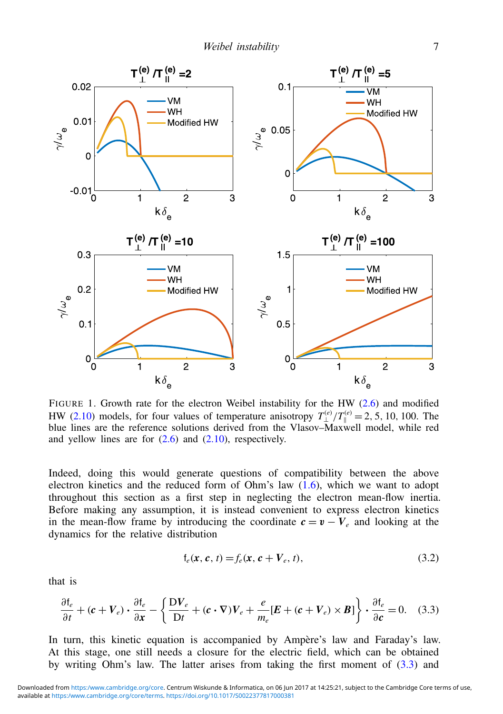

FIGURE 1. Growth rate for the electron Weibel instability for the HW [\(2.6\)](#page-3-0) and modified HW [\(2.10\)](#page-4-1) models, for four values of temperature anisotropy  $T_{\perp}^{(e)}/T_{\parallel}^{(e)} = 2, 5, 10, 100$ . The blue lines are the reference solutions derived from the Vlasov–Maxwell model, while red and yellow lines are for  $(2.6)$  and  $(2.10)$ , respectively.

Indeed, doing this would generate questions of compatibility between the above electron kinetics and the reduced form of Ohm's law [\(1.6\)](#page-1-0), which we want to adopt throughout this section as a first step in neglecting the electron mean-flow inertia. Before making any assumption, it is instead convenient to express electron kinetics in the mean-flow frame by introducing the coordinate  $c = v - V_e$  and looking at the dynamics for the relative distribution

$$
f_e(\mathbf{x}, \mathbf{c}, t) = f_e(\mathbf{x}, \mathbf{c} + V_e, t),
$$
\n(3.2)

that is

<span id="page-6-0"></span>
$$
\frac{\partial f_e}{\partial t} + (\mathbf{c} + V_e) \cdot \frac{\partial f_e}{\partial x} - \left\{ \frac{\mathbf{D} V_e}{\mathbf{D} t} + (\mathbf{c} \cdot \nabla) V_e + \frac{e}{m_e} [\mathbf{E} + (\mathbf{c} + V_e) \times \mathbf{B}] \right\} \cdot \frac{\partial f_e}{\partial \mathbf{c}} = 0. \quad (3.3)
$$

In turn, this kinetic equation is accompanied by Ampère's law and Faraday's law. At this stage, one still needs a closure for the electric field, which can be obtained by writing Ohm's law. The latter arises from taking the first moment of [\(3.3\)](#page-6-0) and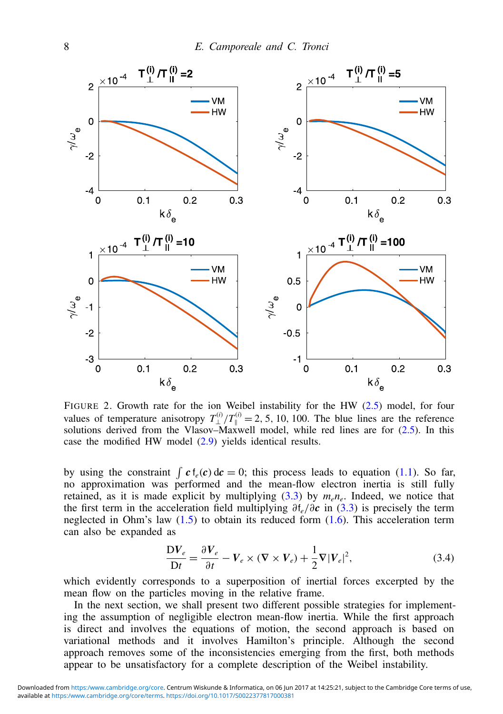

FIGURE 2. Growth rate for the ion Weibel instability for the HW [\(2.5\)](#page-3-1) model, for four values of temperature anisotropy  $T_{\perp}^{(i)}/T_{\parallel}^{(i)} = 2, 5, 10, 100$ . The blue lines are the reference solutions derived from the Vlasov–Maxwell model, while red lines are for  $(2.5)$ . In this case the modified HW model [\(2.9\)](#page-4-0) yields identical results.

by using the constraint  $\int c f_e(c) dc = 0$ ; this process leads to equation [\(1.1\)](#page-0-3). So far, no approximation was performed and the mean-flow electron inertia is still fully retained, as it is made explicit by multiplying  $(3.3)$  by  $m_e n_e$ . Indeed, we notice that the first term in the acceleration field multiplying ∂f*e*/∂*c* in [\(3.3\)](#page-6-0) is precisely the term neglected in Ohm's law  $(1.5)$  to obtain its reduced form  $(1.6)$ . This acceleration term can also be expanded as

<span id="page-7-0"></span>
$$
\frac{\mathbf{D}V_e}{\mathbf{D}t} = \frac{\partial V_e}{\partial t} - V_e \times (\nabla \times V_e) + \frac{1}{2}\nabla |V_e|^2,
$$
\n(3.4)

which evidently corresponds to a superposition of inertial forces excerpted by the mean flow on the particles moving in the relative frame.

In the next section, we shall present two different possible strategies for implementing the assumption of negligible electron mean-flow inertia. While the first approach is direct and involves the equations of motion, the second approach is based on variational methods and it involves Hamilton's principle. Although the second approach removes some of the inconsistencies emerging from the first, both methods appear to be unsatisfactory for a complete description of the Weibel instability.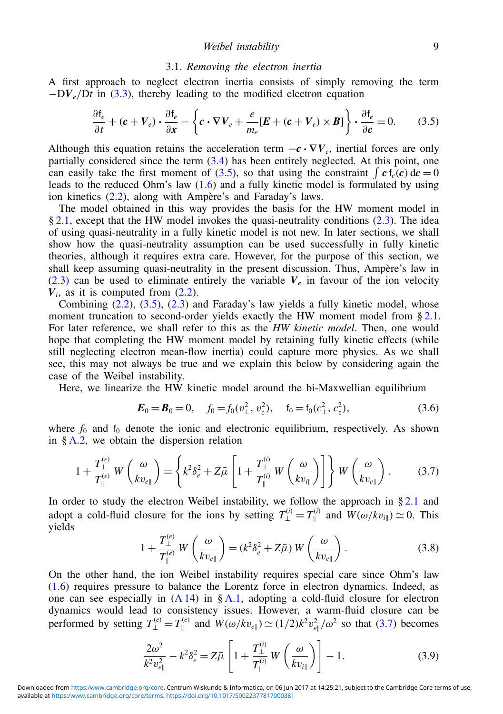#### <span id="page-8-5"></span>3.1. *Removing the electron inertia*

A first approach to neglect electron inertia consists of simply removing the term  $-DV_e/Dt$  in [\(3.3\)](#page-6-0), thereby leading to the modified electron equation

<span id="page-8-0"></span>
$$
\frac{\partial f_e}{\partial t} + (\mathbf{c} + V_e) \cdot \frac{\partial f_e}{\partial x} - \left\{ \mathbf{c} \cdot \nabla V_e + \frac{e}{m_e} [\mathbf{E} + (\mathbf{c} + V_e) \times \mathbf{B}] \right\} \cdot \frac{\partial f_e}{\partial \mathbf{c}} = 0. \tag{3.5}
$$

Although this equation retains the acceleration term  $-c \cdot \nabla V_e$ , inertial forces are only partially considered since the term  $(3.4)$  has been entirely neglected. At this point, one can easily take the first moment of [\(3.5\)](#page-8-0), so that using the constraint  $\int c f_e(c) dc = 0$ leads to the reduced Ohm's law [\(1.6\)](#page-1-0) and a fully kinetic model is formulated by using ion kinetics [\(2.2\)](#page-3-4), along with Ampère's and Faraday's laws.

The model obtained in this way provides the basis for the HW moment model in  $§$  [2.1,](#page-2-1) except that the HW model invokes the quasi-neutrality conditions [\(2.3\)](#page-3-5). The idea of using quasi-neutrality in a fully kinetic model is not new. In later sections, we shall show how the quasi-neutrality assumption can be used successfully in fully kinetic theories, although it requires extra care. However, for the purpose of this section, we shall keep assuming quasi-neutrality in the present discussion. Thus, Ampère's law in  $(2.3)$  can be used to eliminate entirely the variable  $V_e$  in favour of the ion velocity  $V_i$ , as it is computed from  $(2.2)$ .

Combining  $(2.2)$ ,  $(3.5)$ ,  $(2.3)$  and Faraday's law yields a fully kinetic model, whose moment truncation to second-order yields exactly the HW moment model from  $\S 2.1$ . For later reference, we shall refer to this as the *HW kinetic model*. Then, one would hope that completing the HW moment model by retaining fully kinetic effects (while still neglecting electron mean-flow inertia) could capture more physics. As we shall see, this may not always be true and we explain this below by considering again the case of the Weibel instability.

Here, we linearize the HW kinetic model around the bi-Maxwellian equilibrium

<span id="page-8-4"></span>
$$
\boldsymbol{E}_0 = \boldsymbol{B}_0 = 0, \quad f_0 = f_0(v_\perp^2, v_z^2), \quad f_0 = f_0(c_\perp^2, c_z^2), \tag{3.6}
$$

where  $f_0$  and  $f_0$  denote the ionic and electronic equilibrium, respectively. As shown in  $§ A.2$ , we obtain the dispersion relation

<span id="page-8-1"></span>
$$
1 + \frac{T_{\perp}^{(e)}}{T_{\parallel}^{(e)}} W\left(\frac{\omega}{kv_{e\parallel}}\right) = \left\{ k^2 \delta_e^2 + Z\bar{\mu} \left[1 + \frac{T_{\perp}^{(i)}}{T_{\parallel}^{(i)}} W\left(\frac{\omega}{kv_{i\parallel}}\right) \right] \right\} W\left(\frac{\omega}{kv_{e\parallel}}\right). \tag{3.7}
$$

In order to study the electron Weibel instability, we follow the approach in  $\S 2.1$  $\S 2.1$  and adopt a cold-fluid closure for the ions by setting  $T_{\perp}^{(i)} = T_{\parallel}^{(i)}$  $W(w/kv_{i\parallel}) \simeq 0$ . This yields

<span id="page-8-2"></span>
$$
1 + \frac{T_{\perp}^{(e)}}{T_{\parallel}^{(e)}} W\left(\frac{\omega}{kv_{e\parallel}}\right) = (k^2 \delta_e^2 + Z\bar{\mu}) W\left(\frac{\omega}{kv_{e\parallel}}\right). \tag{3.8}
$$

On the other hand, the ion Weibel instability requires special care since Ohm's law [\(1.6\)](#page-1-0) requires pressure to balance the Lorentz force in electron dynamics. Indeed, as one can see especially in  $(A 14)$  in § [A.1,](#page-18-0) adopting a cold-fluid closure for electron dynamics would lead to consistency issues. However, a warm-fluid closure can be performed by setting  $T_{\perp}^{(e)} = T_{\parallel}^{(e)}$  $\int_{\parallel}^{(e)}$  and  $W(\omega/kv_{e\parallel}) \simeq (1/2)k^2v_{e\parallel}^2/\omega^2$  so that [\(3.7\)](#page-8-1) becomes

<span id="page-8-3"></span>
$$
\frac{2\omega^2}{k^2 v_{e\parallel}^2} - k^2 \delta_e^2 = Z\bar{\mu} \left[ 1 + \frac{T_{\perp}^{(i)}}{T_{\parallel}^{(i)}} W\left(\frac{\omega}{kv_{i\parallel}}\right) \right] - 1. \tag{3.9}
$$

available at [https:/www.cambridge.org/core/terms.](https:/www.cambridge.org/core/terms)<https://doi.org/10.1017/S0022377817000381> Downloaded from <https:/www.cambridge.org/core>. Centrum Wiskunde & Informatica, on 06 Jun 2017 at 14:25:21, subject to the Cambridge Core terms of use,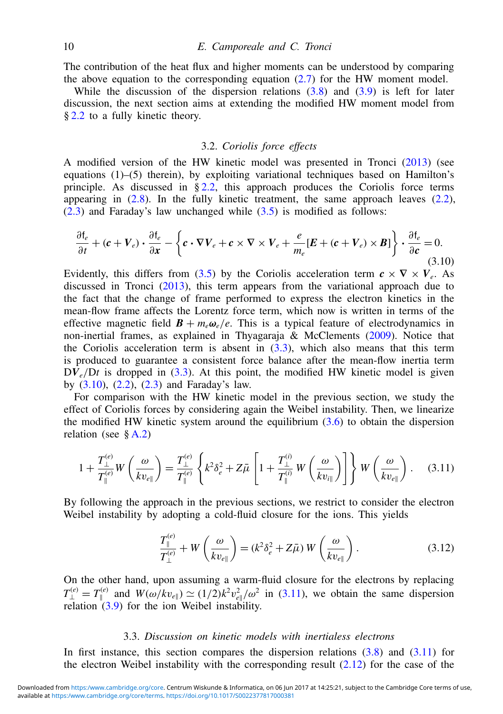The contribution of the heat flux and higher moments can be understood by comparing the above equation to the corresponding equation  $(2.7)$  for the HW moment model.

While the discussion of the dispersion relations  $(3.8)$  and  $(3.9)$  is left for later discussion, the next section aims at extending the modified HW moment model from § [2.2](#page-4-2) to a fully kinetic theory.

## <span id="page-9-3"></span>3.2. *Coriolis force effects*

A modified version of the HW kinetic model was presented in Tronci (2013) (see equations (1)–(5) therein), by exploiting variational techniques based on Hamilton's principle. As discussed in  $\S 2.2$ , this approach produces the Coriolis force terms appearing in  $(2.8)$ . In the fully kinetic treatment, the same approach leaves  $(2.2)$ , [\(2.3\)](#page-3-5) and Faraday's law unchanged while [\(3.5\)](#page-8-0) is modified as follows:

<span id="page-9-0"></span>
$$
\frac{\partial f_e}{\partial t} + (c + V_e) \cdot \frac{\partial f_e}{\partial x} - \left\{ c \cdot \nabla V_e + c \times \nabla \times V_e + \frac{e}{m_e} [E + (c + V_e) \times B] \right\} \cdot \frac{\partial f_e}{\partial c} = 0.
$$
\n(3.10)

Evidently, this differs from [\(3.5\)](#page-8-0) by the Coriolis acceleration term  $c \times \nabla \times V_e$ . As discussed in Tronci (2013), this term appears from the variational approach due to the fact that the change of frame performed to express the electron kinetics in the mean-flow frame affects the Lorentz force term, which now is written in terms of the effective magnetic field  $\mathbf{B} + m_e \omega_e/e$ . This is a typical feature of electrodynamics in non-inertial frames, as explained in Thyagaraja & McClements (2009). Notice that the Coriolis acceleration term is absent in  $(3.3)$ , which also means that this term is produced to guarantee a consistent force balance after the mean-flow inertia term  $DV_e/Dt$  is dropped in [\(3.3\)](#page-6-0). At this point, the modified HW kinetic model is given by [\(3.10\)](#page-9-0), [\(2.2\)](#page-3-4), [\(2.3\)](#page-3-5) and Faraday's law.

For comparison with the HW kinetic model in the previous section, we study the effect of Coriolis forces by considering again the Weibel instability. Then, we linearize the modified HW kinetic system around the equilibrium  $(3.6)$  to obtain the dispersion relation (see  $\& A.2$ )

<span id="page-9-1"></span>
$$
1 + \frac{T_{\perp}^{(e)}}{T_{\parallel}^{(e)}} W\left(\frac{\omega}{kv_{e\parallel}}\right) = \frac{T_{\perp}^{(e)}}{T_{\parallel}^{(e)}} \left\{ k^2 \delta_e^2 + Z\bar{\mu} \left[1 + \frac{T_{\perp}^{(i)}}{T_{\parallel}^{(i)}} W\left(\frac{\omega}{kv_{i\parallel}}\right) \right] \right\} W\left(\frac{\omega}{kv_{e\parallel}}\right). \tag{3.11}
$$

By following the approach in the previous sections, we restrict to consider the electron Weibel instability by adopting a cold-fluid closure for the ions. This yields

<span id="page-9-2"></span>
$$
\frac{T_{\parallel}^{(e)}}{T_{\perp}^{(e)}} + W\left(\frac{\omega}{kv_{e\parallel}}\right) = (k^2 \delta_e^2 + Z\bar{\mu}) W\left(\frac{\omega}{kv_{e\parallel}}\right). \tag{3.12}
$$

On the other hand, upon assuming a warm-fluid closure for the electrons by replacing  $T_{\perp}^{(e)} = T_{\parallel}^{(e)}$  and  $W(\omega/kv_{e\parallel}) \simeq (1/2)k^2v_{e\parallel}^2/\omega^2$  in [\(3.11\)](#page-9-1), we obtain the same dispersion relation [\(3.9\)](#page-8-3) for the ion Weibel instability.

## 3.3. *Discussion on kinetic models with inertialess electrons*

In first instance, this section compares the dispersion relations [\(3.8\)](#page-8-2) and [\(3.11\)](#page-9-1) for the electron Weibel instability with the corresponding result  $(2.12)$  for the case of the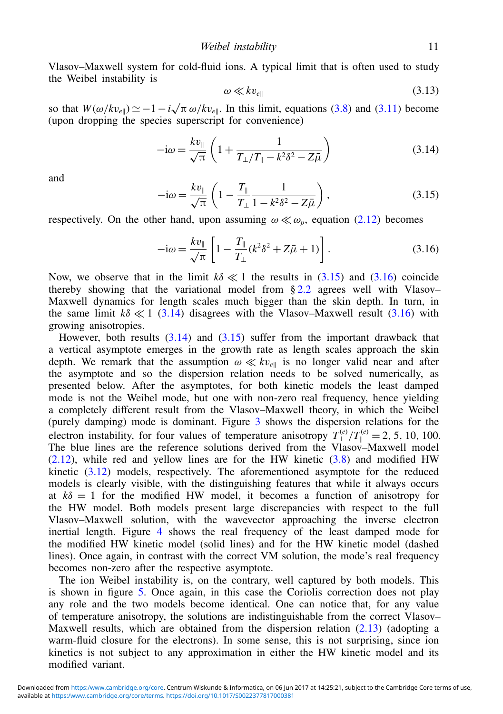Vlasov–Maxwell system for cold-fluid ions. A typical limit that is often used to study the Weibel instability is

$$
\omega \ll k v_{e\parallel} \tag{3.13}
$$

so that  $W(\omega/kv_{e\parallel}) \simeq -1 - i\sqrt{\pi} \omega/kv_{e\parallel}$ . In this limit, equations [\(3.8\)](#page-8-2) and [\(3.11\)](#page-9-1) become (upon dropping the species superscript for convenience)

<span id="page-10-2"></span>
$$
-i\omega = \frac{k v_{\parallel}}{\sqrt{\pi}} \left( 1 + \frac{1}{T_{\perp}/T_{\parallel} - k^2 \delta^2 - Z\bar{\mu}} \right) \tag{3.14}
$$

and

<span id="page-10-0"></span>
$$
-i\omega = \frac{k v_{\parallel}}{\sqrt{\pi}} \left( 1 - \frac{T_{\parallel}}{T_{\perp}} \frac{1}{1 - k^2 \delta^2 - Z\bar{\mu}} \right),
$$
 (3.15)

respectively. On the other hand, upon assuming  $\omega \ll \omega_p$ , equation [\(2.12\)](#page-5-0) becomes

<span id="page-10-1"></span>
$$
-i\omega = \frac{k v_{\parallel}}{\sqrt{\pi}} \left[ 1 - \frac{T_{\parallel}}{T_{\perp}} (k^2 \delta^2 + Z\bar{\mu} + 1) \right].
$$
 (3.16)

Now, we observe that in the limit  $k\delta \ll 1$  the results in [\(3.15\)](#page-10-0) and [\(3.16\)](#page-10-1) coincide thereby showing that the variational model from  $\S 2.2$  $\S 2.2$  agrees well with Vlasov– Maxwell dynamics for length scales much bigger than the skin depth. In turn, in the same limit  $k\delta \ll 1$  [\(3.14\)](#page-10-2) disagrees with the Vlasov–Maxwell result [\(3.16\)](#page-10-1) with growing anisotropies.

However, both results [\(3.14\)](#page-10-2) and [\(3.15\)](#page-10-0) suffer from the important drawback that a vertical asymptote emerges in the growth rate as length scales approach the skin depth. We remark that the assumption  $\omega \ll k v_{e\parallel}$  is no longer valid near and after the asymptote and so the dispersion relation needs to be solved numerically, as presented below. After the asymptotes, for both kinetic models the least damped mode is not the Weibel mode, but one with non-zero real frequency, hence yielding a completely different result from the Vlasov–Maxwell theory, in which the Weibel (purely damping) mode is dominant. Figure 3 shows the dispersion relations for the electron instability, for four values of temperature anisotropy  $T_{\parallel}^{(e)}/T_{\parallel}^{(e)} = 2, 5, 10, 100$ . The blue lines are the reference solutions derived from the  $V_{\text{lasov}}^{\perp}$ -Maxwell model [\(2.12\)](#page-5-0), while red and yellow lines are for the HW kinetic [\(3.8\)](#page-8-2) and modified HW kinetic  $(3.12)$  models, respectively. The aforementioned asymptote for the reduced models is clearly visible, with the distinguishing features that while it always occurs at  $k\delta = 1$  for the modified HW model, it becomes a function of anisotropy for the HW model. Both models present large discrepancies with respect to the full Vlasov–Maxwell solution, with the wavevector approaching the inverse electron inertial length. Figure 4 shows the real frequency of the least damped mode for the modified HW kinetic model (solid lines) and for the HW kinetic model (dashed lines). Once again, in contrast with the correct VM solution, the mode's real frequency becomes non-zero after the respective asymptote.

The ion Weibel instability is, on the contrary, well captured by both models. This is shown in figure 5. Once again, in this case the Coriolis correction does not play any role and the two models become identical. One can notice that, for any value of temperature anisotropy, the solutions are indistinguishable from the correct Vlasov– Maxwell results, which are obtained from the dispersion relation [\(2.13\)](#page-5-2) (adopting a warm-fluid closure for the electrons). In some sense, this is not surprising, since ion kinetics is not subject to any approximation in either the HW kinetic model and its modified variant.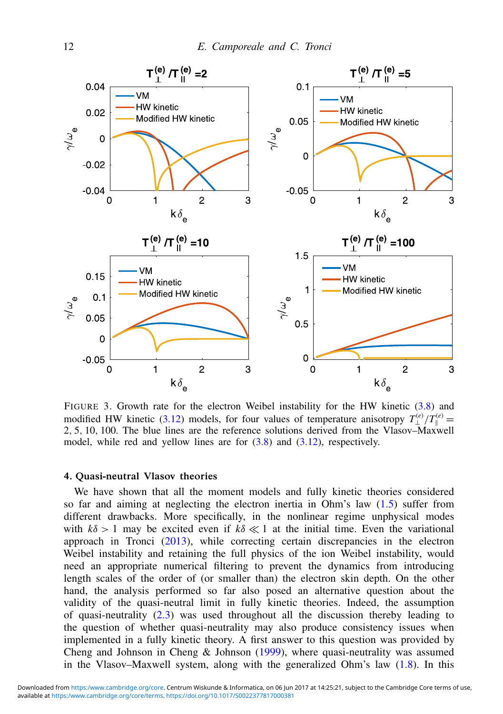

FIGURE 3. Growth rate for the electron Weibel instability for the HW kinetic [\(3.8\)](#page-8-2) and modified HW kinetic [\(3.12\)](#page-9-2) models, for four values of temperature anisotropy  $T_{\perp}^{(e)}/T_{\parallel}^{(e)} =$ 2, 5, 10, 100. The blue lines are the reference solutions derived from the Vlasov–Maxwell model, while red and yellow lines are for  $(3.8)$  and  $(3.12)$ , respectively.

#### 4. Quasi-neutral Vlasov theories

We have shown that all the moment models and fully kinetic theories considered so far and aiming at neglecting the electron inertia in Ohm's law [\(1.5\)](#page-1-1) suffer from different drawbacks. More specifically, in the nonlinear regime unphysical modes with  $k\delta > 1$  may be excited even if  $k\delta \ll 1$  at the initial time. Even the variational approach in Tronci (2013), while correcting certain discrepancies in the electron Weibel instability and retaining the full physics of the ion Weibel instability, would need an appropriate numerical filtering to prevent the dynamics from introducing length scales of the order of (or smaller than) the electron skin depth. On the other hand, the analysis performed so far also posed an alternative question about the validity of the quasi-neutral limit in fully kinetic theories. Indeed, the assumption of quasi-neutrality [\(2.3\)](#page-3-5) was used throughout all the discussion thereby leading to the question of whether quasi-neutrality may also produce consistency issues when implemented in a fully kinetic theory. A first answer to this question was provided by Cheng and Johnson in Cheng & Johnson (1999), where quasi-neutrality was assumed in the Vlasov–Maxwell system, along with the generalized Ohm's law [\(1.8\)](#page-1-2). In this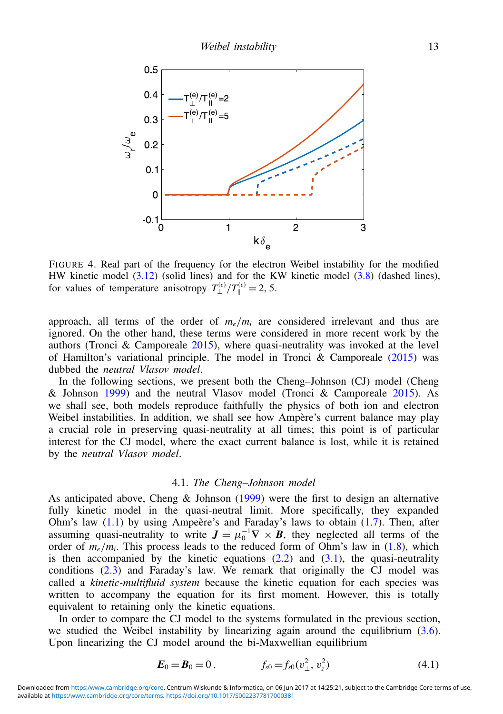

FIGURE 4. Real part of the frequency for the electron Weibel instability for the modified HW kinetic model  $(3.12)$  (solid lines) and for the KW kinetic model  $(3.8)$  (dashed lines), for values of temperature anisotropy  $T_{\perp}^{(e)}/T_{\parallel}^{(e)} = 2, 5$ .

approach, all terms of the order of  $m_e/m_i$  are considered irrelevant and thus are ignored. On the other hand, these terms were considered in more recent work by the authors (Tronci & Camporeale  $2015$ ), where quasi-neutrality was invoked at the level of Hamilton's variational principle. The model in Tronci & Camporeale  $(2015)$  was dubbed the *neutral Vlasov model*.

In the following sections, we present both the Cheng–Johnson (CJ) model (Cheng & Johnson 1999) and the neutral Vlasov model (Tronci & Camporeale 2015). As we shall see, both models reproduce faithfully the physics of both ion and electron Weibel instabilities. In addition, we shall see how Ampère's current balance may play a crucial role in preserving quasi-neutrality at all times; this point is of particular interest for the CJ model, where the exact current balance is lost, while it is retained by the *neutral Vlasov model*.

#### <span id="page-12-0"></span>4.1. *The Cheng–Johnson model*

As anticipated above, Cheng & Johnson (1999) were the first to design an alternative fully kinetic model in the quasi-neutral limit. More specifically, they expanded Ohm's law  $(1.1)$  by using Ampeère's and Faraday's laws to obtain  $(1.7)$ . Then, after assuming quasi-neutrality to write  $J = \mu_0^{-1} \nabla \times B$ , they neglected all terms of the order of  $m_e/m_i$ . This process leads to the reduced form of Ohm's law in [\(1.8\)](#page-1-2), which is then accompanied by the kinetic equations  $(2.2)$  and  $(3.1)$ , the quasi-neutrality conditions [\(2.3\)](#page-3-5) and Faraday's law. We remark that originally the CJ model was called a *kinetic-multifluid system* because the kinetic equation for each species was written to accompany the equation for its first moment. However, this is totally equivalent to retaining only the kinetic equations.

In order to compare the CJ model to the systems formulated in the previous section, we studied the Weibel instability by linearizing again around the equilibrium  $(3.6)$ . Upon linearizing the CJ model around the bi-Maxwellian equilibrium

<span id="page-12-1"></span>
$$
E_0 = B_0 = 0, \qquad f_{s0} = f_{s0}(v_\perp^2, v_z^2) \tag{4.1}
$$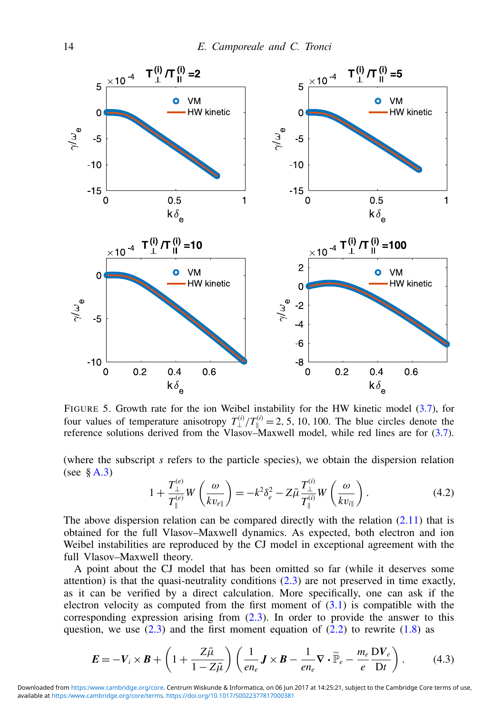

FIGURE 5. Growth rate for the ion Weibel instability for the HW kinetic model [\(3.7\)](#page-8-1), for four values of temperature anisotropy  $T_{\perp}^{(i)}/T_{\parallel}^{(i)} = 2, 5, 10, 100$ . The blue circles denote the reference solutions derived from the Vlasov–Maxwell model, while red lines are for [\(3.7\)](#page-8-1).

(where the subscript *s* refers to the particle species), we obtain the dispersion relation (see  $\&$  [A.3\)](#page-22-0)

<span id="page-13-1"></span>
$$
1 + \frac{T_{\perp}^{(e)}}{T_{\parallel}^{(e)}} W\left(\frac{\omega}{kv_{e\parallel}}\right) = -k^2 \delta_e^2 - Z\bar{\mu} \frac{T_{\perp}^{(i)}}{T_{\parallel}^{(i)}} W\left(\frac{\omega}{kv_{i\parallel}}\right). \tag{4.2}
$$

The above dispersion relation can be compared directly with the relation  $(2.11)$  that is obtained for the full Vlasov–Maxwell dynamics. As expected, both electron and ion Weibel instabilities are reproduced by the CJ model in exceptional agreement with the full Vlasov–Maxwell theory.

A point about the CJ model that has been omitted so far (while it deserves some attention) is that the quasi-neutrality conditions  $(2.3)$  are not preserved in time exactly, as it can be verified by a direct calculation. More specifically, one can ask if the electron velocity as computed from the first moment of  $(3.1)$  is compatible with the corresponding expression arising from [\(2.3\)](#page-3-5). In order to provide the answer to this question, we use  $(2.3)$  and the first moment equation of  $(2.2)$  to rewrite  $(1.8)$  as

<span id="page-13-0"></span>
$$
\boldsymbol{E} = -\boldsymbol{V}_i \times \boldsymbol{B} + \left(1 + \frac{Z\bar{\mu}}{1 - Z\bar{\mu}}\right) \left(\frac{1}{en_e}\boldsymbol{J} \times \boldsymbol{B} - \frac{1}{en_e}\boldsymbol{\nabla} \cdot \widetilde{\mathbb{P}}_e - \frac{m_e}{e}\frac{\boldsymbol{D}\boldsymbol{V}_e}{Dt}\right). \tag{4.3}
$$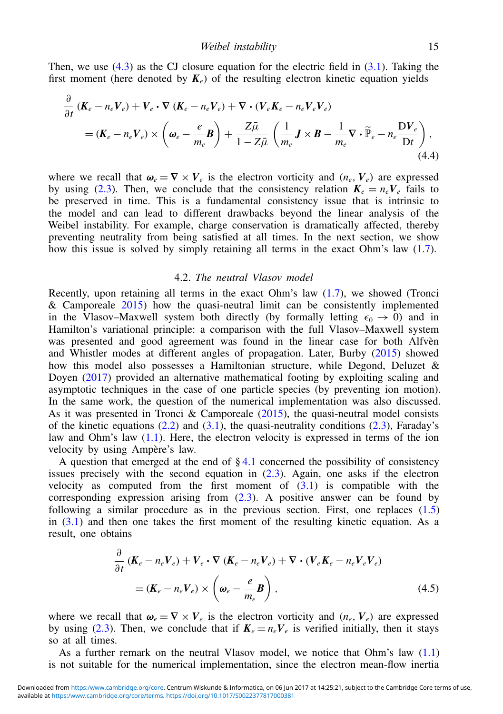Then, we use  $(4.3)$  as the CJ closure equation for the electric field in  $(3.1)$ . Taking the first moment (here denoted by  $K_e$ ) of the resulting electron kinetic equation yields

$$
\frac{\partial}{\partial t} \left( \mathbf{K}_e - n_e \mathbf{V}_e \right) + \mathbf{V}_e \cdot \nabla \left( \mathbf{K}_e - n_e \mathbf{V}_e \right) + \nabla \cdot \left( \mathbf{V}_e \mathbf{K}_e - n_e \mathbf{V}_e \mathbf{V}_e \right) \n= (\mathbf{K}_e - n_e \mathbf{V}_e) \times \left( \boldsymbol{\omega}_e - \frac{e}{m_e} \mathbf{B} \right) + \frac{Z \bar{\mu}}{1 - Z \bar{\mu}} \left( \frac{1}{m_e} \mathbf{J} \times \mathbf{B} - \frac{1}{m_e} \nabla \cdot \widetilde{\mathbb{P}}_e - n_e \frac{\mathbf{D} \mathbf{V}_e}{\mathbf{D} t} \right),
$$
\n(4.4)

where we recall that  $\omega_e = \nabla \times V_e$  is the electron vorticity and  $(n_e, V_e)$  are expressed by using [\(2.3\)](#page-3-5). Then, we conclude that the consistency relation  $K_e = n_e V_e$  fails to be preserved in time. This is a fundamental consistency issue that is intrinsic to the model and can lead to different drawbacks beyond the linear analysis of the Weibel instability. For example, charge conservation is dramatically affected, thereby preventing neutrality from being satisfied at all times. In the next section, we show how this issue is solved by simply retaining all terms in the exact Ohm's law [\(1.7\)](#page-1-3).

#### 4.2. *The neutral Vlasov model*

Recently, upon retaining all terms in the exact Ohm's law [\(1.7\)](#page-1-3), we showed (Tronci & Camporeale 2015) how the quasi-neutral limit can be consistently implemented in the Vlasov–Maxwell system both directly (by formally letting  $\epsilon_0 \rightarrow 0$ ) and in Hamilton's variational principle: a comparison with the full Vlasov–Maxwell system was presented and good agreement was found in the linear case for both Alfvèn and Whistler modes at different angles of propagation. Later, Burby (2015) showed how this model also possesses a Hamiltonian structure, while Degond, Deluzet  $\&$ Doyen (2017) provided an alternative mathematical footing by exploiting scaling and asymptotic techniques in the case of one particle species (by preventing ion motion). In the same work, the question of the numerical implementation was also discussed. As it was presented in Tronci & Camporeale  $(2015)$ , the quasi-neutral model consists of the kinetic equations  $(2.2)$  and  $(3.1)$ , the quasi-neutrality conditions  $(2.3)$ , Faraday's law and Ohm's law [\(1.1\)](#page-0-3). Here, the electron velocity is expressed in terms of the ion velocity by using Ampère's law.

A question that emerged at the end of  $\S 4.1$  $\S 4.1$  concerned the possibility of consistency issues precisely with the second equation in  $(2.3)$ . Again, one asks if the electron velocity as computed from the first moment of  $(3.1)$  is compatible with the corresponding expression arising from [\(2.3\)](#page-3-5). A positive answer can be found by following a similar procedure as in the previous section. First, one replaces [\(1.5\)](#page-1-1) in  $(3.1)$  and then one takes the first moment of the resulting kinetic equation. As a result, one obtains

$$
\frac{\partial}{\partial t} \left( \boldsymbol{K}_e - n_e \boldsymbol{V}_e \right) + \boldsymbol{V}_e \cdot \nabla \left( \boldsymbol{K}_e - n_e \boldsymbol{V}_e \right) + \nabla \cdot \left( \boldsymbol{V}_e \boldsymbol{K}_e - n_e \boldsymbol{V}_e \boldsymbol{V}_e \right)
$$
\n
$$
= (\boldsymbol{K}_e - n_e \boldsymbol{V}_e) \times \left( \boldsymbol{\omega}_e - \frac{e}{m_e} \boldsymbol{B} \right), \tag{4.5}
$$

where we recall that  $\omega_e = \nabla \times V_e$  is the electron vorticity and  $(n_e, V_e)$  are expressed by using [\(2.3\)](#page-3-5). Then, we conclude that if  $K_e = n_e V_e$  is verified initially, then it stays so at all times.

As a further remark on the neutral Vlasov model, we notice that Ohm's law [\(1.1\)](#page-0-3) is not suitable for the numerical implementation, since the electron mean-flow inertia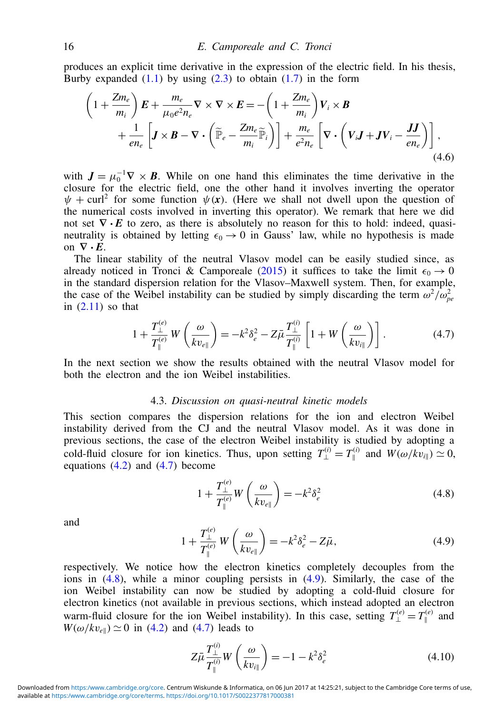produces an explicit time derivative in the expression of the electric field. In his thesis, Burby expanded  $(1.1)$  by using  $(2.3)$  to obtain  $(1.7)$  in the form

$$
\left(1+\frac{Zm_e}{m_i}\right)E + \frac{m_e}{\mu_0 e^2 n_e} \nabla \times \nabla \times E = -\left(1+\frac{Zm_e}{m_i}\right) V_i \times B \n+ \frac{1}{en_e} \left[J \times B - \nabla \cdot \left(\widetilde{\mathbb{P}}_e - \frac{Zm_e}{m_i} \widetilde{\mathbb{P}}_i\right)\right] + \frac{m_e}{e^2 n_e} \left[\nabla \cdot \left(V_i J + J V_i - \frac{J J}{en_e}\right)\right],
$$
\n(4.6)

with  $J = \mu_0^{-1} \nabla \times B$ . While on one hand this eliminates the time derivative in the closure for the electric field, one the other hand it involves inverting the operator  $\psi$  + curl<sup>2</sup> for some function  $\psi(x)$ . (Here we shall not dwell upon the question of the numerical costs involved in inverting this operator). We remark that here we did not set  $\nabla \cdot E$  to zero, as there is absolutely no reason for this to hold: indeed, quasineutrality is obtained by letting  $\epsilon_0 \rightarrow 0$  in Gauss' law, while no hypothesis is made on  $\nabla \cdot E$ .

The linear stability of the neutral Vlasov model can be easily studied since, as already noticed in Tronci & Camporeale (2015) it suffices to take the limit  $\epsilon_0 \rightarrow 0$ in the standard dispersion relation for the Vlasov–Maxwell system. Then, for example, the case of the Weibel instability can be studied by simply discarding the term  $\omega^2/\omega_{pe}^2$ in  $(2.11)$  so that

<span id="page-15-0"></span>
$$
1 + \frac{T_{\perp}^{(e)}}{T_{\parallel}^{(e)}} W\left(\frac{\omega}{kv_{e\parallel}}\right) = -k^2 \delta_e^2 - Z\bar{\mu} \frac{T_{\perp}^{(i)}}{T_{\parallel}^{(i)}} \left[1 + W\left(\frac{\omega}{kv_{i\parallel}}\right)\right]. \tag{4.7}
$$

In the next section we show the results obtained with the neutral Vlasov model for both the electron and the ion Weibel instabilities.

#### 4.3. *Discussion on quasi-neutral kinetic models*

This section compares the dispersion relations for the ion and electron Weibel instability derived from the CJ and the neutral Vlasov model. As it was done in previous sections, the case of the electron Weibel instability is studied by adopting a cold-fluid closure for ion kinetics. Thus, upon setting  $T_{\perp}^{(i)} = T_{\parallel}^{(i)}$  $W(w/kv_{i\parallel}) \simeq 0$ , equations  $(4.2)$  and  $(4.7)$  become

<span id="page-15-1"></span>
$$
1 + \frac{T_{\perp}^{(e)}}{T_{\parallel}^{(e)}} W\left(\frac{\omega}{kv_{e\parallel}}\right) = -k^2 \delta_e^2 \tag{4.8}
$$

and

<span id="page-15-2"></span>
$$
1 + \frac{T_{\perp}^{(e)}}{T_{\parallel}^{(e)}} W\left(\frac{\omega}{kv_{e\parallel}}\right) = -k^2 \delta_e^2 - Z\bar{\mu},\tag{4.9}
$$

respectively. We notice how the electron kinetics completely decouples from the ions in [\(4.8\)](#page-15-1), while a minor coupling persists in [\(4.9\)](#page-15-2). Similarly, the case of the ion Weibel instability can now be studied by adopting a cold-fluid closure for electron kinetics (not available in previous sections, which instead adopted an electron warm-fluid closure for the ion Weibel instability). In this case, setting  $T_{\perp}^{(e)} = T_{\parallel}^{(e)}$  $\mathbb{I}^{(e)}$  and  $W(\omega/kv_{\text{ell}}) \simeq 0$  in [\(4.2\)](#page-13-1) and [\(4.7\)](#page-15-0) leads to

<span id="page-15-3"></span>
$$
Z\bar{\mu}\frac{T_{\perp}^{(i)}}{T_{\parallel}^{(i)}}W\left(\frac{\omega}{kv_{i\parallel}}\right) = -1 - k^2\delta_e^2
$$
 (4.10)

available at [https:/www.cambridge.org/core/terms.](https:/www.cambridge.org/core/terms)<https://doi.org/10.1017/S0022377817000381> Downloaded from <https:/www.cambridge.org/core>. Centrum Wiskunde & Informatica, on 06 Jun 2017 at 14:25:21, subject to the Cambridge Core terms of use,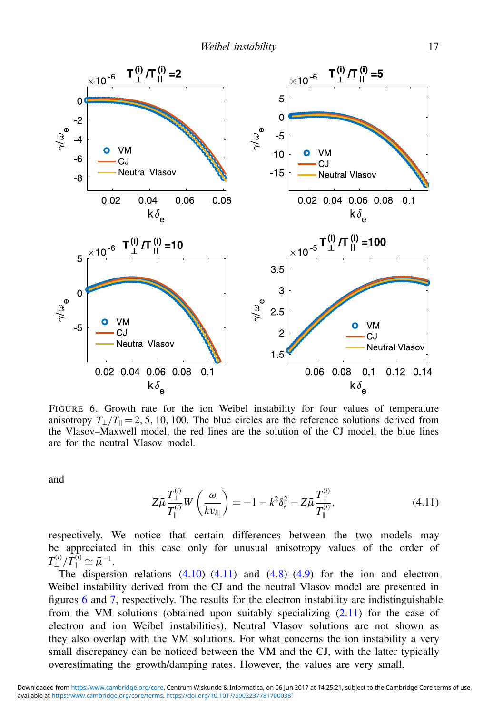

FIGURE 6. Growth rate for the ion Weibel instability for four values of temperature anisotropy  $T_{\perp}/T_{\parallel} = 2, 5, 10, 100$ . The blue circles are the reference solutions derived from the Vlasov–Maxwell model, the red lines are the solution of the CJ model, the blue lines are for the neutral Vlasov model.

and

<span id="page-16-0"></span>
$$
Z\bar{\mu}\frac{T_{\perp}^{(i)}}{T_{\parallel}^{(i)}}W\left(\frac{\omega}{kv_{i\parallel}}\right) = -1 - k^2\delta_e^2 - Z\bar{\mu}\frac{T_{\perp}^{(i)}}{T_{\parallel}^{(i)}},\tag{4.11}
$$

respectively. We notice that certain differences between the two models may be appreciated in this case only for unusual anisotropy values of the order of  $T^{(i)}_{\perp}/T^{(i)}_{\parallel}\simeq\bar{\mu}^{-1}.$ 

The dispersion relations  $(4.10)$ – $(4.11)$  and  $(4.8)$ – $(4.9)$  for the ion and electron Weibel instability derived from the CJ and the neutral Vlasov model are presented in figures 6 and 7, respectively. The results for the electron instability are indistinguishable from the VM solutions (obtained upon suitably specializing [\(2.11\)](#page-5-1) for the case of electron and ion Weibel instabilities). Neutral Vlasov solutions are not shown as they also overlap with the VM solutions. For what concerns the ion instability a very small discrepancy can be noticed between the VM and the CJ, with the latter typically overestimating the growth/damping rates. However, the values are very small.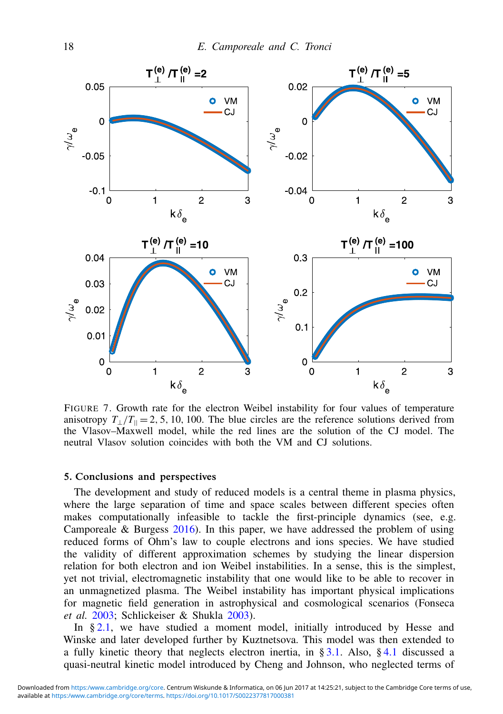

FIGURE 7. Growth rate for the electron Weibel instability for four values of temperature anisotropy  $T_1/T_0 = 2, 5, 10, 100$ . The blue circles are the reference solutions derived from the Vlasov–Maxwell model, while the red lines are the solution of the CJ model. The neutral Vlasov solution coincides with both the VM and CJ solutions.

## 5. Conclusions and perspectives

The development and study of reduced models is a central theme in plasma physics, where the large separation of time and space scales between different species often makes computationally infeasible to tackle the first-principle dynamics (see, e.g. Camporeale & Burgess  $2016$ ). In this paper, we have addressed the problem of using reduced forms of Ohm's law to couple electrons and ions species. We have studied the validity of different approximation schemes by studying the linear dispersion relation for both electron and ion Weibel instabilities. In a sense, this is the simplest, yet not trivial, electromagnetic instability that one would like to be able to recover in an unmagnetized plasma. The Weibel instability has important physical implications for magnetic field generation in astrophysical and cosmological scenarios (Fonseca *et al.* 2003; Schlickeiser & Shukla 2003).

In § [2.1,](#page-2-1) we have studied a moment model, initially introduced by Hesse and Winske and later developed further by Kuztnetsova. This model was then extended to a fully kinetic theory that neglects electron inertia, in § [3.1.](#page-8-5) Also, § [4.1](#page-12-0) discussed a quasi-neutral kinetic model introduced by Cheng and Johnson, who neglected terms of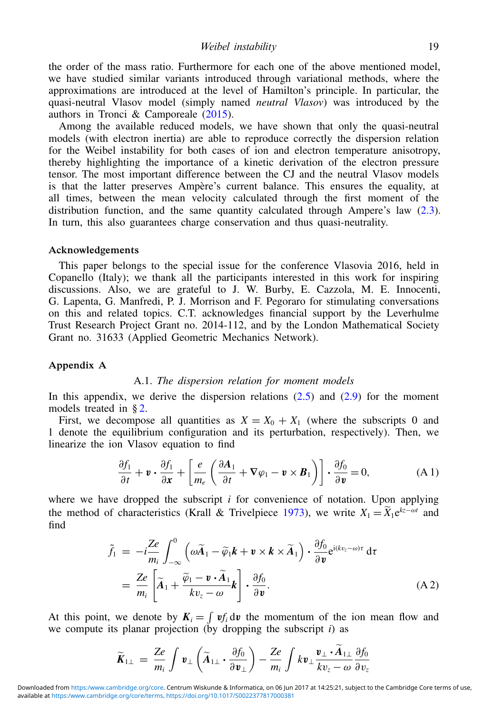the order of the mass ratio. Furthermore for each one of the above mentioned model, we have studied similar variants introduced through variational methods, where the approximations are introduced at the level of Hamilton's principle. In particular, the quasi-neutral Vlasov model (simply named *neutral Vlasov*) was introduced by the authors in Tronci & Camporeale  $(2015)$ .

Among the available reduced models, we have shown that only the quasi-neutral models (with electron inertia) are able to reproduce correctly the dispersion relation for the Weibel instability for both cases of ion and electron temperature anisotropy, thereby highlighting the importance of a kinetic derivation of the electron pressure tensor. The most important difference between the CJ and the neutral Vlasov models is that the latter preserves Ampère's current balance. This ensures the equality, at all times, between the mean velocity calculated through the first moment of the distribution function, and the same quantity calculated through Ampere's law [\(2.3\)](#page-3-5). In turn, this also guarantees charge conservation and thus quasi-neutrality.

#### Acknowledgements

This paper belongs to the special issue for the conference Vlasovia 2016, held in Copanello (Italy); we thank all the participants interested in this work for inspiring discussions. Also, we are grateful to J. W. Burby, E. Cazzola, M. E. Innocenti, G. Lapenta, G. Manfredi, P. J. Morrison and F. Pegoraro for stimulating conversations on this and related topics. C.T. acknowledges financial support by the Leverhulme Trust Research Project Grant no. 2014-112, and by the London Mathematical Society Grant no. 31633 (Applied Geometric Mechanics Network).

#### Appendix A

#### <span id="page-18-0"></span>A.1. *The dispersion relation for moment models*

In this appendix, we derive the dispersion relations  $(2.5)$  and  $(2.9)$  for the moment models treated in § [2.](#page-2-2)

First, we decompose all quantities as  $X = X_0 + X_1$  (where the subscripts 0 and 1 denote the equilibrium configuration and its perturbation, respectively). Then, we linearize the ion Vlasov equation to find

$$
\frac{\partial f_1}{\partial t} + \mathbf{v} \cdot \frac{\partial f_1}{\partial \mathbf{x}} + \left[ \frac{e}{m_e} \left( \frac{\partial \mathbf{A}_1}{\partial t} + \nabla \varphi_1 - \mathbf{v} \times \mathbf{B}_1 \right) \right] \cdot \frac{\partial f_0}{\partial \mathbf{v}} = 0, \tag{A.1}
$$

where we have dropped the subscript  $i$  for convenience of notation. Upon applying the method of characteristics (Krall & Trivelpiece 1973), we write  $X_1 = \overline{X}_1 e^{kz - \omega t}$  and find

<span id="page-18-1"></span>
$$
\tilde{f}_1 = -i\frac{Ze}{m_i} \int_{-\infty}^0 \left( \omega \tilde{A}_1 - \tilde{\varphi}_1 \mathbf{k} + \mathbf{v} \times \mathbf{k} \times \tilde{A}_1 \right) \cdot \frac{\partial f_0}{\partial \mathbf{v}} e^{i(kv_z - \omega)\tau} d\tau \n= \frac{Ze}{m_i} \left[ \tilde{A}_1 + \frac{\tilde{\varphi}_1 - \mathbf{v} \cdot \tilde{A}_1}{kv_z - \omega} \mathbf{k} \right] \cdot \frac{\partial f_0}{\partial \mathbf{v}}.
$$
\n(A2)

At this point, we denote by  $K_i = \int v f_i dv$  the momentum of the ion mean flow and we compute its planar projection (by dropping the subscript  $i$ ) as

$$
\widetilde{K}_{1\perp} = \frac{Ze}{m_i} \int \mathbf{v}_{\perp} \left( \widetilde{A}_{1\perp} \cdot \frac{\partial f_0}{\partial \mathbf{v}_{\perp}} \right) - \frac{Ze}{m_i} \int k \mathbf{v}_{\perp} \frac{\mathbf{v}_{\perp} \cdot A_{1\perp}}{kv_z - \omega} \frac{\partial f_0}{\partial v_z}
$$

available at [https:/www.cambridge.org/core/terms.](https:/www.cambridge.org/core/terms)<https://doi.org/10.1017/S0022377817000381> Downloaded from <https:/www.cambridge.org/core>. Centrum Wiskunde & Informatica, on 06 Jun 2017 at 14:25:21, subject to the Cambridge Core terms of use,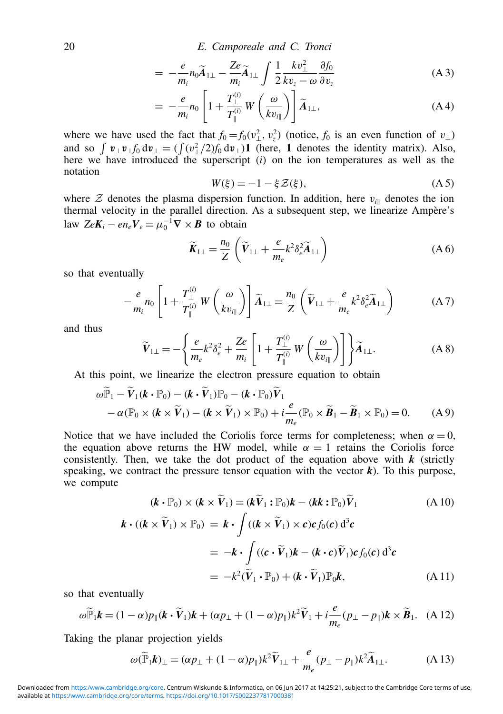20 E. Camporeale and C. Tronci

$$
= -\frac{e}{m_i} n_0 \widetilde{A}_{1\perp} - \frac{Ze}{m_i} \widetilde{A}_{1\perp} \int \frac{1}{2} \frac{k v_\perp^2}{k v_z - \omega} \frac{\partial f_0}{\partial v_z}
$$
(A3)

$$
= -\frac{e}{m_i}n_0 \left[1 + \frac{T_{\perp}^{(i)}}{T_{\parallel}^{(i)}} W\left(\frac{\omega}{kv_{i\parallel}}\right)\right] \widetilde{A}_{1\perp}, \tag{A4}
$$

where we have used the fact that  $f_0 = f_0(v_\perp^2, v_z^2)$  (notice,  $f_0$  is an even function of  $v_\perp$ ) and so  $\int \mathbf{v}_\perp \mathbf{v}_\perp f_0 d\mathbf{v}_\perp = (\int (v_\perp^2/2) f_0 d\mathbf{v}_\perp) \mathbf{1}$  (here, 1 denotes the identity matrix). Also, here we have introduced the superscript  $(i)$  on the ion temperatures as well as the notation

$$
W(\xi) = -1 - \xi \mathcal{Z}(\xi),\tag{A5}
$$

where  $Z$  denotes the plasma dispersion function. In addition, here  $v_{i\parallel}$  denotes the ion thermal velocity in the parallel direction. As a subsequent step, we linearize Ampère's law  $ZeK_i - en_eV_e = \mu_0^{-1}\nabla \times \mathbf{B}$  to obtain

<span id="page-19-2"></span>
$$
\widetilde{K}_{1\perp} = \frac{n_0}{Z} \left( \widetilde{V}_{1\perp} + \frac{e}{m_e} k^2 \delta_e^2 \widetilde{A}_{1\perp} \right) \tag{A 6}
$$

so that eventually

$$
-\frac{e}{m_i}n_0\left[1+\frac{T_{\perp}^{(i)}}{T_{\parallel}^{(i)}}W\left(\frac{\omega}{kv_{i\parallel}}\right)\right]\widetilde{A}_{1\perp}=\frac{n_0}{Z}\left(\widetilde{V}_{1\perp}+\frac{e}{m_e}k^2\delta_e^2\widetilde{A}_{1\perp}\right) \tag{A 7}
$$

and thus

<span id="page-19-0"></span>
$$
\widetilde{V}_{1\perp} = -\left\{ \frac{e}{m_e} k^2 \delta_e^2 + \frac{Ze}{m_i} \left[ 1 + \frac{T_{\perp}^{(i)}}{T_{\parallel}^{(i)}} W\left(\frac{\omega}{kv_{i\parallel}}\right) \right] \right\} \widetilde{A}_{1\perp}.
$$
\n(A8)

At this point, we linearize the electron pressure equation to obtain

$$
\omega \widetilde{\mathbb{P}}_1 - \widetilde{V}_1(\boldsymbol{k} \cdot \mathbb{P}_0) - (\boldsymbol{k} \cdot \widetilde{V}_1) \mathbb{P}_0 - (\boldsymbol{k} \cdot \mathbb{P}_0) \widetilde{V}_1 \n- \alpha (\mathbb{P}_0 \times (\boldsymbol{k} \times \widetilde{V}_1) - (\boldsymbol{k} \times \widetilde{V}_1) \times \mathbb{P}_0) + i \frac{e}{m_e} (\mathbb{P}_0 \times \widetilde{\boldsymbol{B}}_1 - \widetilde{\boldsymbol{B}}_1 \times \mathbb{P}_0) = 0.
$$
 (A 9)

Notice that we have included the Coriolis force terms for completeness; when  $\alpha = 0$ , the equation above returns the HW model, while  $\alpha = 1$  retains the Coriolis force consistently. Then, we take the dot product of the equation above with  $k$  (strictly speaking, we contract the pressure tensor equation with the vector  $\boldsymbol{k}$ ). To this purpose, we compute

$$
(\mathbf{k} \cdot \mathbb{P}_0) \times (\mathbf{k} \times \widetilde{V}_1) = (\mathbf{k}\widetilde{V}_1 : \mathbb{P}_0)\mathbf{k} - (\mathbf{k}\mathbf{k} : \mathbb{P}_0)\widetilde{V}_1
$$
(A 10)  

$$
\mathbf{k} \cdot ((\mathbf{k} \times \widetilde{V}_1) \times \mathbb{P}_0) = \mathbf{k} \cdot \int ((\mathbf{k} \times \widetilde{V}_1) \times \mathbf{c}) \mathbf{c} f_0(\mathbf{c}) d^3 \mathbf{c}
$$

$$
= -\mathbf{k} \cdot \int ((\mathbf{c} \cdot \widetilde{V}_1)\mathbf{k} - (\mathbf{k} \cdot \mathbf{c})\widetilde{V}_1) \mathbf{c} f_0(\mathbf{c}) d^3 \mathbf{c}
$$

$$
= -k^2 (\widetilde{V}_1 \cdot \mathbb{P}_0) + (\mathbf{k} \cdot \widetilde{V}_1) \mathbb{P}_0 \mathbf{k},
$$
(A 11)

so that eventually

$$
\omega \widetilde{\mathbb{P}}_1 \mathbf{k} = (1 - \alpha)p_{\parallel}(\mathbf{k} \cdot \widetilde{\mathbf{V}}_1)\mathbf{k} + (\alpha p_{\perp} + (1 - \alpha)p_{\parallel})k^2 \widetilde{\mathbf{V}}_1 + i \frac{e}{m_e}(p_{\perp} - p_{\parallel})\mathbf{k} \times \widetilde{\mathbf{B}}_1. \tag{A 12}
$$

Taking the planar projection yields

<span id="page-19-1"></span>
$$
\omega(\widetilde{\mathbb{P}}_1 \mathbf{k})_{\perp} = (\alpha p_{\perp} + (1 - \alpha)p_{\parallel})k^2 \widetilde{V}_{1\perp} + \frac{e}{m_e}(p_{\perp} - p_{\parallel})k^2 \widetilde{A}_{1\perp}.
$$
 (A 13)

available at [https:/www.cambridge.org/core/terms.](https:/www.cambridge.org/core/terms)<https://doi.org/10.1017/S0022377817000381> Downloaded from <https:/www.cambridge.org/core>. Centrum Wiskunde & Informatica, on 06 Jun 2017 at 14:25:21, subject to the Cambridge Core terms of use,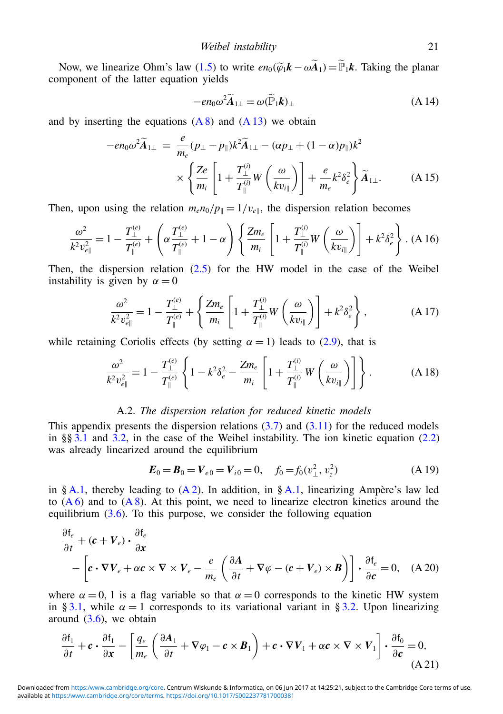Now, we linearize Ohm's law [\(1.5\)](#page-1-1) to write  $en_0(\tilde{\varphi}_1\mathbf{k}-\omega\tilde{A}_1)=\tilde{\mathbb{P}}_1\mathbf{k}$ . Taking the planar component of the latter equation yields

<span id="page-20-1"></span>
$$
-e n_0 \omega^2 \widetilde{A}_{1\perp} = \omega (\widetilde{\mathbb{P}}_1 k)_{\perp}
$$
 (A 14)

and by inserting the equations  $(A 8)$  and  $(A 13)$  we obtain

$$
-en_0\omega^2 \widetilde{A}_{1\perp} = \frac{e}{m_e}(p_\perp - p_\parallel)k^2 \widetilde{A}_{1\perp} - (\alpha p_\perp + (1 - \alpha)p_\parallel)k^2
$$
  
 
$$
\times \left\{ \frac{Ze}{m_i} \left[ 1 + \frac{T_\perp^{(i)}}{T_\parallel^{(i)}} W\left(\frac{\omega}{kv_{i\parallel}}\right) \right] + \frac{e}{m_e}k^2 \delta_e^2 \right\} \widetilde{A}_{1\perp}.
$$
 (A 15)

Then, upon using the relation  $m_e n_0 / p_{\parallel} = 1 / v_{e \parallel}$ , the dispersion relation becomes

$$
\frac{\omega^2}{k^2 v_{e\parallel}^2} = 1 - \frac{T_{\perp}^{(e)}}{T_{\parallel}^{(e)}} + \left(\alpha \frac{T_{\perp}^{(e)}}{T_{\parallel}^{(e)}} + 1 - \alpha\right) \left\{ \frac{Zm_e}{m_i} \left[1 + \frac{T_{\perp}^{(i)}}{T_{\parallel}^{(i)}} W\left(\frac{\omega}{kv_{i\parallel}}\right)\right] + k^2 \delta_e^2 \right\} .
$$
 (A 16)

Then, the dispersion relation [\(2.5\)](#page-3-1) for the HW model in the case of the Weibel instability is given by  $\alpha = 0$ 

$$
\frac{\omega^2}{k^2 v_{e\parallel}^2} = 1 - \frac{T_{\perp}^{(e)}}{T_{\parallel}^{(e)}} + \left\{ \frac{Zm_e}{m_i} \left[ 1 + \frac{T_{\perp}^{(i)}}{T_{\parallel}^{(i)}} W\left(\frac{\omega}{kv_{i\parallel}}\right) \right] + k^2 \delta_e^2 \right\},\tag{A.17}
$$

while retaining Coriolis effects (by setting  $\alpha = 1$ ) leads to [\(2.9\)](#page-4-0), that is

$$
\frac{\omega^2}{k^2 v_{e\parallel}^2} = 1 - \frac{T_{\perp}^{(e)}}{T_{\parallel}^{(e)}} \left\{ 1 - k^2 \delta_e^2 - \frac{Z m_e}{m_i} \left[ 1 + \frac{T_{\perp}^{(i)}}{T_{\parallel}^{(i)}} W\left(\frac{\omega}{kv_{i\parallel}}\right) \right] \right\}.
$$
 (A 18)

### <span id="page-20-0"></span>A.2. *The dispersion relation for reduced kinetic models*

This appendix presents the dispersion relations  $(3.7)$  and  $(3.11)$  for the reduced models in §§ [3.1](#page-8-5) and [3.2,](#page-9-3) in the case of the Weibel instability. The ion kinetic equation  $(2.2)$ was already linearized around the equilibrium

$$
\boldsymbol{E}_0 = \boldsymbol{B}_0 = \boldsymbol{V}_{e0} = \boldsymbol{V}_{i0} = 0, \quad f_0 = f_0(v_\perp^2, v_z^2)
$$
 (A 19)

in § [A.1,](#page-18-0) thereby leading to  $(A 2)$ . In addition, in § A.1, linearizing Ampère's law led to  $(A 6)$  and to  $(A 8)$ . At this point, we need to linearize electron kinetics around the equilibrium  $(3.6)$ . To this purpose, we consider the following equation

$$
\frac{\partial f_e}{\partial t} + (c + V_e) \cdot \frac{\partial f_e}{\partial x} \n- \left[ c \cdot \nabla V_e + \alpha c \times \nabla \times V_e - \frac{e}{m_e} \left( \frac{\partial A}{\partial t} + \nabla \varphi - (c + V_e) \times B \right) \right] \cdot \frac{\partial f_e}{\partial c} = 0, \quad (A.20)
$$

where  $\alpha = 0$ , 1 is a flag variable so that  $\alpha = 0$  corresponds to the kinetic HW system in § [3.1,](#page-8-5) while  $\alpha = 1$  corresponds to its variational variant in § [3.2.](#page-9-3) Upon linearizing around  $(3.6)$ , we obtain

$$
\frac{\partial \mathbf{f}_1}{\partial t} + \mathbf{c} \cdot \frac{\partial \mathbf{f}_1}{\partial x} - \left[ \frac{q_e}{m_e} \left( \frac{\partial \mathbf{A}_1}{\partial t} + \nabla \varphi_1 - \mathbf{c} \times \mathbf{B}_1 \right) + \mathbf{c} \cdot \nabla V_1 + \alpha \mathbf{c} \times \nabla \times V_1 \right] \cdot \frac{\partial \mathbf{f}_0}{\partial \mathbf{c}} = 0,
$$
\n(A21)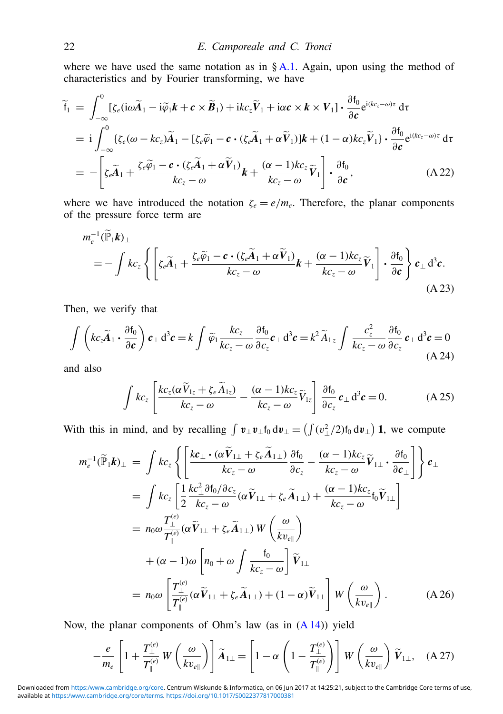where we have used the same notation as in § [A.1.](#page-18-0) Again, upon using the method of characteristics and by Fourier transforming, we have

$$
\widetilde{\mathsf{f}}_1 = \int_{-\infty}^0 [\zeta_e(i\omega \widetilde{A}_1 - i\widetilde{\varphi}_1 \mathbf{k} + \mathbf{c} \times \widetilde{\mathbf{B}}_1) + ikc_z \widetilde{V}_1 + i\alpha \mathbf{c} \times \mathbf{k} \times V_1] \cdot \frac{\partial \mathsf{f}_0}{\partial \mathbf{c}} e^{i(kc_z - \omega)\tau} d\tau \n= i \int_{-\infty}^0 {\{\zeta_e(\omega - kc_z)\widetilde{A}_1 - [\zeta_e\widetilde{\varphi}_1 - \mathbf{c} \cdot (\zeta_e\widetilde{A}_1 + \alpha \widetilde{V}_1)]\mathbf{k} + (1 - \alpha)kc_z \widetilde{V}_1\} \cdot \frac{\partial \mathsf{f}_0}{\partial \mathbf{c}} e^{i(kc_z - \omega)\tau} d\tau \n= - \left[ \zeta_e \widetilde{A}_1 + \frac{\zeta_e \widetilde{\varphi}_1 - \mathbf{c} \cdot (\zeta_e \widetilde{A}_1 + \alpha \widetilde{V}_1)}{kc_z - \omega} \mathbf{k} + \frac{(\alpha - 1)kc_z}{kc_z - \omega} \widetilde{V}_1 \right] \cdot \frac{\partial \mathsf{f}_0}{\partial \mathbf{c}},
$$
\n(A 22)

where we have introduced the notation  $\zeta_e = e/m_e$ . Therefore, the planar components of the pressure force term are

$$
m_e^{-1}(\widetilde{\mathbb{P}}_1 \mathbf{k})_{\perp}
$$
  
=  $-\int k c_z \left\{ \left[ \zeta_e \widetilde{A}_1 + \frac{\zeta_e \widetilde{\varphi}_1 - \mathbf{c} \cdot (\zeta_e \widetilde{A}_1 + \alpha \widetilde{V}_1)}{k c_z - \omega} \mathbf{k} + \frac{(\alpha - 1) k c_z}{k c_z - \omega} \widetilde{V}_1 \right] \cdot \frac{\partial f_0}{\partial \mathbf{c}} \right\} \mathbf{c}_{\perp} d^3 \mathbf{c}.$   
(A 23)

Then, we verify that

$$
\int \left( kc_z \widetilde{A}_1 \cdot \frac{\partial f_0}{\partial c} \right) c_\perp d^3 c = k \int \widetilde{\varphi}_1 \frac{k c_z}{k c_z - \omega} \frac{\partial f_0}{\partial c_z} c_\perp d^3 c = k^2 \widetilde{A}_{1z} \int \frac{c_z^2}{k c_z - \omega} \frac{\partial f_0}{\partial c_z} c_\perp d^3 c = 0
$$
\n(A.24)

and also

$$
\int kc_z \left[ \frac{k c_z (\alpha \widetilde{V}_{1z} + \zeta_e \widetilde{A}_{1z})}{k c_z - \omega} - \frac{(\alpha - 1) k c_z}{k c_z - \omega} \widetilde{V}_{1z} \right] \frac{\partial f_0}{\partial c_z} c_\perp d^3 c = 0.
$$
 (A 25)

With this in mind, and by recalling  $\int \mathbf{v}_{\perp} \mathbf{v}_{\perp} f_0 d\mathbf{v}_{\perp} = (\int (v_{\perp}^2/2)f_0 d\mathbf{v}_{\perp}) \mathbf{1}$ , we compute

<span id="page-21-0"></span>
$$
m_e^{-1}(\widetilde{\mathbb{P}}_1 \mathbf{k})_{\perp} = \int k c_z \left\{ \left[ \frac{k c_{\perp} \cdot (\alpha \widetilde{V}_{1\perp} + \zeta_e \widetilde{A}_{1\perp})}{k c_z - \omega} \frac{\partial f_0}{\partial c_z} - \frac{(\alpha - 1) k c_z}{k c_z - \omega} \widetilde{V}_{1\perp} \cdot \frac{\partial f_0}{\partial c_{\perp}} \right] \right\} c_{\perp}
$$
  
\n
$$
= \int k c_z \left[ \frac{1}{2} \frac{k c_{\perp}^2 \partial f_0 / \partial c_z}{k c_z - \omega} (\alpha \widetilde{V}_{1\perp} + \zeta_e \widetilde{A}_{1\perp}) + \frac{(\alpha - 1) k c_z}{k c_z - \omega} f_0 \widetilde{V}_{1\perp} \right]
$$
  
\n
$$
= n_0 \omega \frac{T_{\perp}^{(e)}}{T_{\parallel}^{(e)}} (\alpha \widetilde{V}_{1\perp} + \zeta_e \widetilde{A}_{1\perp}) W \left( \frac{\omega}{k v_{e\parallel}} \right)
$$
  
\n
$$
+ (\alpha - 1) \omega \left[ n_0 + \omega \int \frac{f_0}{k c_z - \omega} \right] \widetilde{V}_{1\perp}
$$
  
\n
$$
= n_0 \omega \left[ \frac{T_{\perp}^{(e)}}{T_{\parallel}^{(e)}} (\alpha \widetilde{V}_{1\perp} + \zeta_e \widetilde{A}_{1\perp}) + (1 - \alpha) \widetilde{V}_{1\perp} \right] W \left( \frac{\omega}{k v_{e\parallel}} \right).
$$
 (A 26)

Now, the planar components of Ohm's law (as in [\(A 14\)](#page-20-1)) yield

$$
-\frac{e}{m_e} \left[ 1 + \frac{T_{\perp}^{(e)}}{T_{\parallel}^{(e)}} W\left(\frac{\omega}{kv_{e\parallel}}\right) \right] \widetilde{A}_{1\perp} = \left[ 1 - \alpha \left( 1 - \frac{T_{\perp}^{(e)}}{T_{\parallel}^{(e)}} \right) \right] W\left(\frac{\omega}{kv_{e\parallel}}\right) \widetilde{V}_{1\perp}, \quad (A 27)
$$

available at [https:/www.cambridge.org/core/terms.](https:/www.cambridge.org/core/terms)<https://doi.org/10.1017/S0022377817000381> Downloaded from <https:/www.cambridge.org/core>. Centrum Wiskunde & Informatica, on 06 Jun 2017 at 14:25:21, subject to the Cambridge Core terms of use,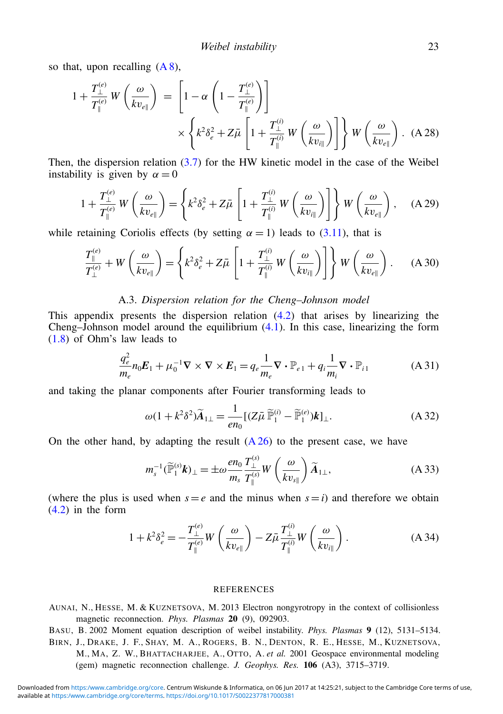so that, upon recalling  $(A 8)$ ,

$$
1 + \frac{T_{\perp}^{(e)}}{T_{\parallel}^{(e)}} W\left(\frac{\omega}{kv_{e\parallel}}\right) = \left[1 - \alpha \left(1 - \frac{T_{\perp}^{(e)}}{T_{\parallel}^{(e)}}\right)\right]
$$

$$
\times \left\{k^2 \delta_e^2 + Z\bar{\mu} \left[1 + \frac{T_{\perp}^{(i)}}{T_{\parallel}^{(i)}} W\left(\frac{\omega}{kv_{i\parallel}}\right)\right]\right\} W\left(\frac{\omega}{kv_{e\parallel}}\right). \tag{A.28}
$$

Then, the dispersion relation  $(3.7)$  for the HW kinetic model in the case of the Weibel instability is given by  $\alpha = 0$ 

$$
1 + \frac{T_{\perp}^{(e)}}{T_{\parallel}^{(e)}} W\left(\frac{\omega}{kv_{e\parallel}}\right) = \left\{ k^2 \delta_e^2 + Z\bar{\mu} \left[1 + \frac{T_{\perp}^{(i)}}{T_{\parallel}^{(i)}} W\left(\frac{\omega}{kv_{i\parallel}}\right) \right] \right\} W\left(\frac{\omega}{kv_{e\parallel}}\right), \quad \text{(A 29)}
$$

while retaining Coriolis effects (by setting  $\alpha = 1$ ) leads to [\(3.11\)](#page-9-1), that is

$$
\frac{T_{\parallel}^{(e)}}{T_{\perp}^{(e)}} + W\left(\frac{\omega}{kv_{e\parallel}}\right) = \left\{k^2\delta_e^2 + Z\bar{\mu}\left[1 + \frac{T_{\perp}^{(i)}}{T_{\parallel}^{(i)}}W\left(\frac{\omega}{kv_{i\parallel}}\right)\right]\right\}W\left(\frac{\omega}{kv_{e\parallel}}\right). \tag{A.30}
$$

## <span id="page-22-0"></span>A.3. *Dispersion relation for the Cheng–Johnson model*

This appendix presents the dispersion relation [\(4.2\)](#page-13-1) that arises by linearizing the Cheng–Johnson model around the equilibrium [\(4.1\)](#page-12-1). In this case, linearizing the form [\(1.8\)](#page-1-2) of Ohm's law leads to

$$
\frac{q_e^2}{m_e} n_0 E_1 + \mu_0^{-1} \nabla \times \nabla \times E_1 = q_e \frac{1}{m_e} \nabla \cdot \mathbb{P}_{e1} + q_i \frac{1}{m_i} \nabla \cdot \mathbb{P}_{i1}
$$
 (A 31)

and taking the planar components after Fourier transforming leads to

$$
\omega(1 + k^2 \delta^2) \widetilde{A}_{1\perp} = \frac{1}{en_0} \left[ (Z\bar{\mu} \widetilde{\mathbb{P}}_1^{(i)} - \widetilde{\mathbb{P}}_1^{(e)}) \mathbf{k} \right]_{\perp}.
$$
 (A 32)

On the other hand, by adapting the result  $(A 26)$  to the present case, we have

$$
m_s^{-1}(\widetilde{\mathbb{P}}_1^{(s)}\boldsymbol{k})_{\perp} = \pm \omega \frac{en_0}{m_s} \frac{T_{\perp}^{(s)}}{T_{\parallel}^{(s)}} W\left(\frac{\omega}{kv_{s\parallel}}\right) \widetilde{A}_{1\perp},
$$
\n(A 33)

(where the plus is used when  $s = e$  and the minus when  $s = i$ ) and therefore we obtain  $(4.2)$  in the form

$$
1 + k^2 \delta_e^2 = -\frac{T_\perp^{(e)}}{T_\parallel^{(e)}} W\left(\frac{\omega}{kv_{e\parallel}}\right) - Z\bar{\mu} \frac{T_\perp^{(i)}}{T_\parallel^{(i)}} W\left(\frac{\omega}{kv_{i\parallel}}\right). \tag{A.34}
$$

#### **REFERENCES**

- AUNAI, N., HESSE, M. & KUZNETSOVA, M. 2013 Electron nongyrotropy in the context of collisionless magnetic reconnection. *Phys. Plasmas* 20 (9), 092903.
- BASU, B. 2002 Moment equation description of weibel instability. *Phys. Plasmas* 9 (12), 5131–5134. BIRN, J., DRAKE, J. F., SHAY, M. A., ROGERS, B. N., DENTON, R. E., HESSE, M., KUZNETSOVA, M., MA, Z. W., BHATTACHARJEE, A., OTTO, A. *et al.* 2001 Geospace environmental modeling (gem) magnetic reconnection challenge. *J. Geophys. Res.* 106 (A3), 3715–3719.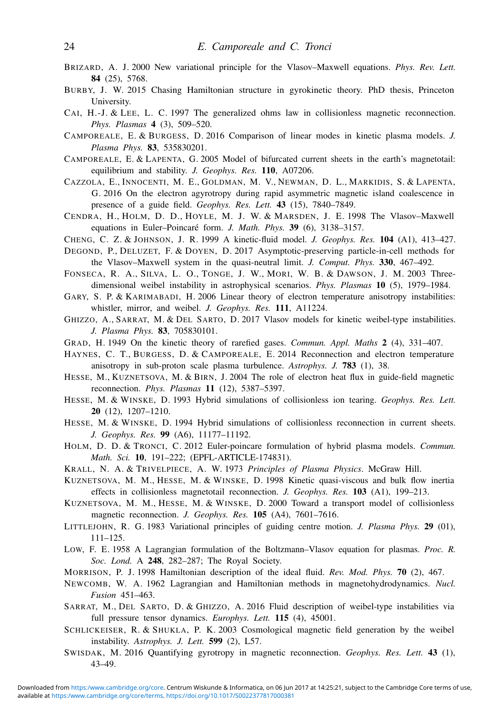- BRIZARD, A. J. 2000 New variational principle for the Vlasov–Maxwell equations. *Phys. Rev. Lett.* 84 (25), 5768.
- BURBY, J. W. 2015 Chasing Hamiltonian structure in gyrokinetic theory. PhD thesis, Princeton University.
- CAI, H.-J. & LEE, L. C. 1997 The generalized ohms law in collisionless magnetic reconnection. *Phys. Plasmas* 4 (3), 509–520.
- CAMPOREALE, E. & BURGESS, D. 2016 Comparison of linear modes in kinetic plasma models. *J. Plasma Phys.* 83, 535830201.
- CAMPOREALE, E. & LAPENTA, G. 2005 Model of bifurcated current sheets in the earth's magnetotail: equilibrium and stability. *J. Geophys. Res.* 110, A07206.
- CAZZOLA, E., INNOCENTI, M. E., GOLDMAN, M. V., NEWMAN, D. L., MARKIDIS, S. & LAPENTA, G. 2016 On the electron agyrotropy during rapid asymmetric magnetic island coalescence in presence of a guide field. *Geophys. Res. Lett.* 43 (15), 7840–7849.
- CENDRA, H., HOLM, D. D., HOYLE, M. J. W. & MARSDEN, J. E. 1998 The Vlasov–Maxwell equations in Euler–Poincaré form. *J. Math. Phys.* 39 (6), 3138–3157.
- CHENG, C. Z. & JOHNSON, J. R. 1999 A kinetic-fluid model. *J. Geophys. Res.* 104 (A1), 413–427.
- DEGOND, P., DELUZET, F. & DOYEN, D. 2017 Asymptotic-preserving particle-in-cell methods for the Vlasov–Maxwell system in the quasi-neutral limit. *J. Comput. Phys.* 330, 467–492.
- FONSECA, R. A., SILVA, L. O., TONGE, J. W., MORI, W. B. & DAWSON, J. M. 2003 Threedimensional weibel instability in astrophysical scenarios. *Phys. Plasmas* 10 (5), 1979–1984.
- GARY, S. P. & KARIMABADI, H. 2006 Linear theory of electron temperature anisotropy instabilities: whistler, mirror, and weibel. *J. Geophys. Res.* 111, A11224.
- GHIZZO, A., SARRAT, M. & DEL SARTO, D. 2017 Vlasov models for kinetic weibel-type instabilities. *J. Plasma Phys.* 83, 705830101.
- GRAD, H. 1949 On the kinetic theory of rarefied gases. *Commun. Appl. Maths* 2 (4), 331–407.
- HAYNES, C. T., BURGESS, D. & CAMPOREALE, E. 2014 Reconnection and electron temperature anisotropy in sub-proton scale plasma turbulence. *Astrophys. J.* 783 (1), 38.
- HESSE, M., KUZNETSOVA, M. & BIRN, J. 2004 The role of electron heat flux in guide-field magnetic reconnection. *Phys. Plasmas* 11 (12), 5387–5397.
- HESSE, M. & WINSKE, D. 1993 Hybrid simulations of collisionless ion tearing. *Geophys. Res. Lett.* 20 (12), 1207–1210.
- HESSE, M. & WINSKE, D. 1994 Hybrid simulations of collisionless reconnection in current sheets. *J. Geophys. Res.* 99 (A6), 11177–11192.
- HOLM, D. D. & TRONCI, C. 2012 Euler-poincare formulation of hybrid plasma models. *Commun. Math. Sci.* 10, 191–222; (EPFL-ARTICLE-174831).
- KRALL, N. A. & TRIVELPIECE, A. W. 1973 *Principles of Plasma Physics*. McGraw Hill.
- KUZNETSOVA, M. M., HESSE, M. & WINSKE, D. 1998 Kinetic quasi-viscous and bulk flow inertia effects in collisionless magnetotail reconnection. *J. Geophys. Res.* 103 (A1), 199–213.
- KUZNETSOVA, M. M., HESSE, M. & WINSKE, D. 2000 Toward a transport model of collisionless magnetic reconnection. *J. Geophys. Res.* 105 (A4), 7601–7616.
- LITTLEJOHN, R. G. 1983 Variational principles of guiding centre motion. *J. Plasma Phys.* 29 (01), 111–125.
- LOW, F. E. 1958 A Lagrangian formulation of the Boltzmann–Vlasov equation for plasmas. *Proc. R. Soc. Lond.* A 248, 282–287; The Royal Society.
- MORRISON, P. J. 1998 Hamiltonian description of the ideal fluid. *Rev. Mod. Phys.* 70 (2), 467.
- NEWCOMB, W. A. 1962 Lagrangian and Hamiltonian methods in magnetohydrodynamics. *Nucl. Fusion* 451–463.
- SARRAT, M., DEL SARTO, D. & GHIZZO, A. 2016 Fluid description of weibel-type instabilities via full pressure tensor dynamics. *Europhys. Lett.* 115 (4), 45001.
- SCHLICKEISER, R. & SHUKLA, P. K. 2003 Cosmological magnetic field generation by the weibel instability. *Astrophys. J. Lett.* 599 (2), L57.
- SWISDAK, M. 2016 Quantifying gyrotropy in magnetic reconnection. *Geophys. Res. Lett.* 43 (1), 43–49.